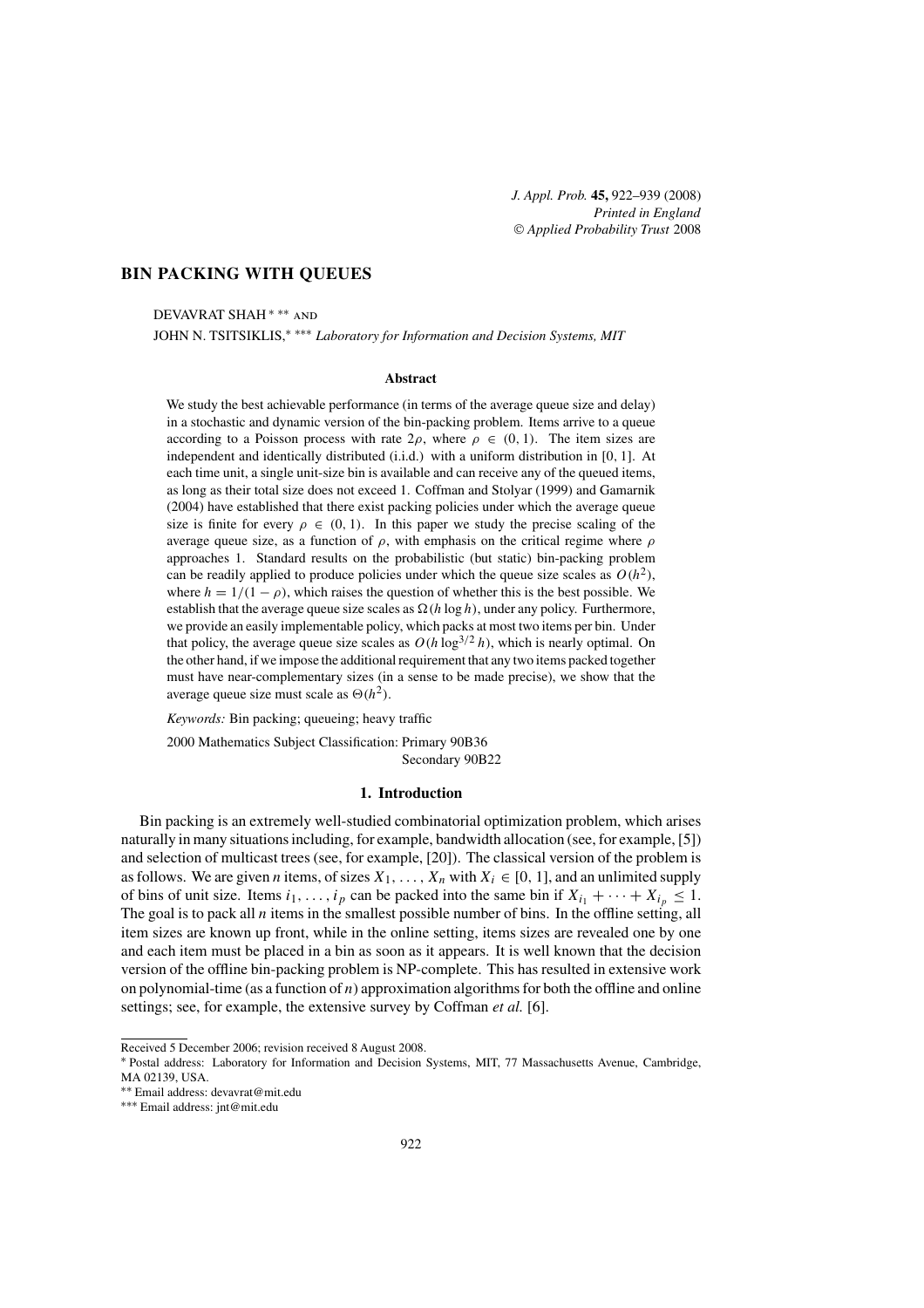# **BIN PACKING WITH QUEUES**

DEVAVRAT SHAH ∗ ∗∗ and

JOHN N. TSITSIKLIS,∗ ∗∗∗ *Laboratory for Information and Decision Systems, MIT*

#### **Abstract**

We study the best achievable performance (in terms of the average queue size and delay) in a stochastic and dynamic version of the bin-packing problem. Items arrive to a queue according to a Poisson process with rate  $2\rho$ , where  $\rho \in (0, 1)$ . The item sizes are independent and identically distributed (i.i.d.) with a uniform distribution in [0, 1]. At each time unit, a single unit-size bin is available and can receive any of the queued items, as long as their total size does not exceed 1. Coffman and Stolyar (1999) and Gamarnik (2004) have established that there exist packing policies under which the average queue size is finite for every  $\rho \in (0, 1)$ . In this paper we study the precise scaling of the average queue size, as a function of  $\rho$ , with emphasis on the critical regime where  $\rho$ approaches 1. Standard results on the probabilistic (but static) bin-packing problem can be readily applied to produce policies under which the queue size scales as  $O(h^2)$ , where  $h = 1/(1 - \rho)$ , which raises the question of whether this is the best possible. We establish that the average queue size scales as  $\Omega(h \log h)$ , under any policy. Furthermore, we provide an easily implementable policy, which packs at most two items per bin. Under that policy, the average queue size scales as  $O(h \log^{3/2} h)$ , which is nearly optimal. On the other hand, if we impose the additional requirement that any two items packed together must have near-complementary sizes (in a sense to be made precise), we show that the average queue size must scale as  $\Theta(h^2)$ .

*Keywords:* Bin packing; queueing; heavy traffic

2000 Mathematics Subject Classification: Primary 90B36

Secondary 90B22

### **1. Introduction**

Bin packing is an extremely well-studied combinatorial optimization problem, which arises naturally in many situations including, for example, bandwidth allocation (see, for example, [5]) and selection of multicast trees (see, for example, [20]). The classical version of the problem is as follows. We are given *n* items, of sizes  $X_1, \ldots, X_n$  with  $X_i \in [0, 1]$ , and an unlimited supply of bins of unit size. Items  $i_1, \ldots, i_p$  can be packed into the same bin if  $X_{i_1} + \cdots + X_{i_p} \leq 1$ . The goal is to pack all  $n$  items in the smallest possible number of bins. In the offline setting, all item sizes are known up front, while in the online setting, items sizes are revealed one by one and each item must be placed in a bin as soon as it appears. It is well known that the decision version of the offline bin-packing problem is NP-complete. This has resulted in extensive work on polynomial-time (as a function of  $n$ ) approximation algorithms for both the offline and online settings; see, for example, the extensive survey by Coffman *et al.* [6].

Received 5 December 2006; revision received 8 August 2008.

<sup>∗</sup> Postal address: Laboratory for Information and Decision Systems, MIT, 77 Massachusetts Avenue, Cambridge, MA 02139, USA.<br>\*\* Email address: devavrat@mit.edu

<sup>∗∗</sup> Email address: devavrat@mit.edu ∗∗∗ Email address: jnt@mit.edu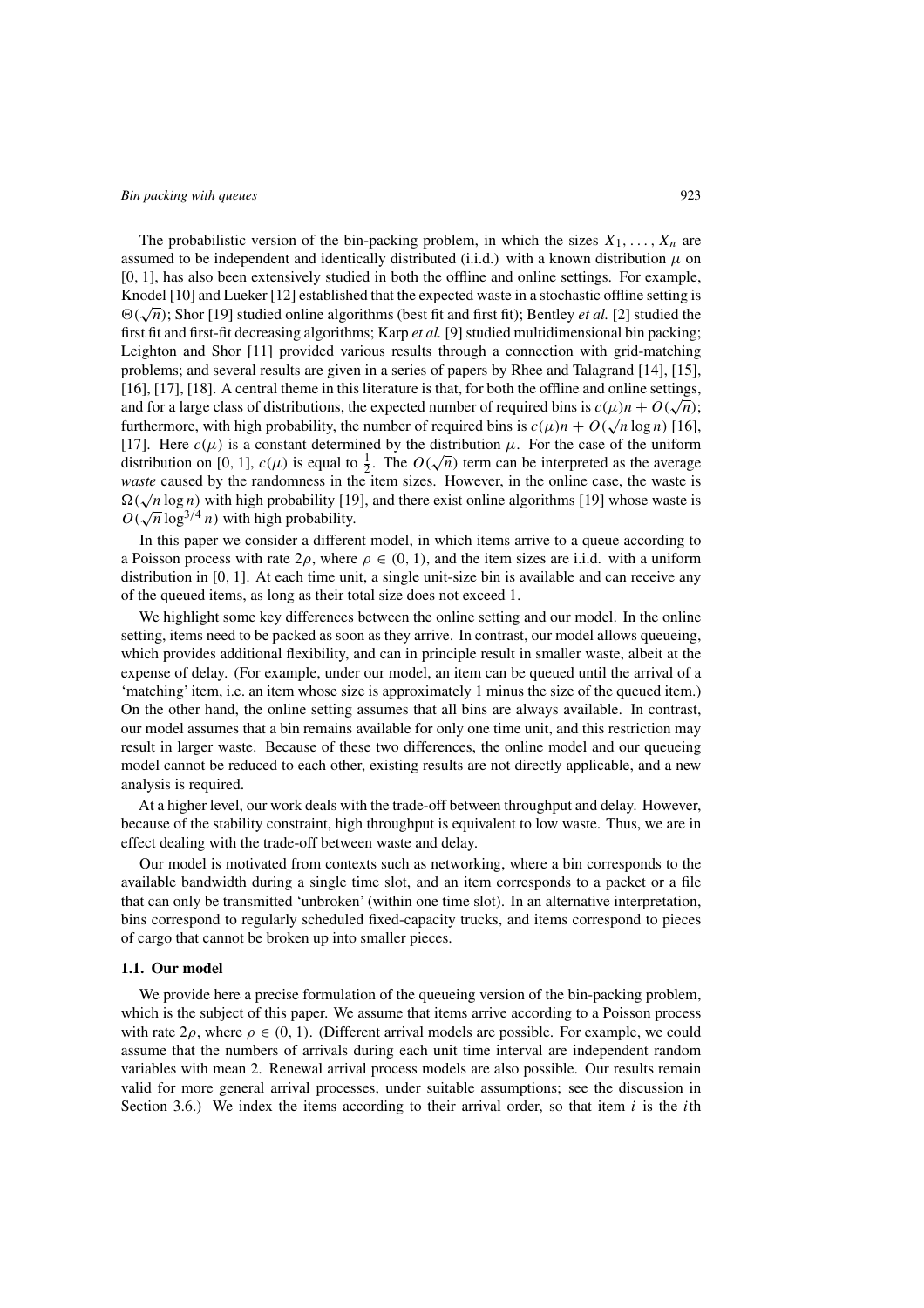The probabilistic version of the bin-packing problem, in which the sizes  $X_1, \ldots, X_n$  are assumed to be independent and identically distributed (i.i.d.) with a known distribution  $\mu$  on [0, 1], has also been extensively studied in both the offline and online settings. For example, Knodel [10] and Lueker [12] established that the expected waste in a stochastic offline setting is  $\Theta(\sqrt{n})$ ; Shor [19] studied online algorithms (best fit and first fit); Bentley *et al.* [2] studied the first fit and first-fit decreasing algorithms; Karp *et al.* [9] studied multidimensional bin packing; Leighton and Shor [11] provided various results through a connection with grid-matching problems; and several results are given in a series of papers by Rhee and Talagrand [14], [15], [16], [17], [18]. A central theme in this literature is that, for both the offline and online settings, and for a large class of distributions, the expected number of required bins is  $c(\mu)n + O(\sqrt{n});$ furthermore, with high probability, the number of required bins is  $c(\mu)n + O(\sqrt{n \log n})$  [16], [17]. Here  $c(\mu)$  is a constant determined by the distribution  $\mu$ . For the case of the uniform  $[1]$ . Here  $c(\mu)$  is a constant determined by the distribution  $\mu$ . For the case of the uniform distribution on [0, 1],  $c(\mu)$  is equal to  $\frac{1}{2}$ . The  $O(\sqrt{n})$  term can be interpreted as the average *waste* caused by the randomness in the item sizes. However, in the online case, the waste is *waste* caused by the randomness in the nem sizes. However, in the online case, the waste is  $\Omega(\sqrt{n \log n})$  with high probability [19], and there exist online algorithms [19] whose waste is  $O(\sqrt{n} \log^{3/4} n)$  with high probability.

In this paper we consider a different model, in which items arrive to a queue according to a Poisson process with rate  $2\rho$ , where  $\rho \in (0, 1)$ , and the item sizes are i.i.d. with a uniform distribution in [0, 1]. At each time unit, a single unit-size bin is available and can receive any of the queued items, as long as their total size does not exceed 1.

We highlight some key differences between the online setting and our model. In the online setting, items need to be packed as soon as they arrive. In contrast, our model allows queueing, which provides additional flexibility, and can in principle result in smaller waste, albeit at the expense of delay. (For example, under our model, an item can be queued until the arrival of a 'matching' item, i.e. an item whose size is approximately 1 minus the size of the queued item.) On the other hand, the online setting assumes that all bins are always available. In contrast, our model assumes that a bin remains available for only one time unit, and this restriction may result in larger waste. Because of these two differences, the online model and our queueing model cannot be reduced to each other, existing results are not directly applicable, and a new analysis is required.

At a higher level, our work deals with the trade-off between throughput and delay. However, because of the stability constraint, high throughput is equivalent to low waste. Thus, we are in effect dealing with the trade-off between waste and delay.

Our model is motivated from contexts such as networking, where a bin corresponds to the available bandwidth during a single time slot, and an item corresponds to a packet or a file that can only be transmitted 'unbroken' (within one time slot). In an alternative interpretation, bins correspond to regularly scheduled fixed-capacity trucks, and items correspond to pieces of cargo that cannot be broken up into smaller pieces.

# **1.1. Our model**

We provide here a precise formulation of the queueing version of the bin-packing problem, which is the subject of this paper. We assume that items arrive according to a Poisson process with rate  $2\rho$ , where  $\rho \in (0, 1)$ . (Different arrival models are possible. For example, we could assume that the numbers of arrivals during each unit time interval are independent random variables with mean 2. Renewal arrival process models are also possible. Our results remain valid for more general arrival processes, under suitable assumptions; see the discussion in Section 3.6.) We index the items according to their arrival order, so that item  $i$  is the *i*th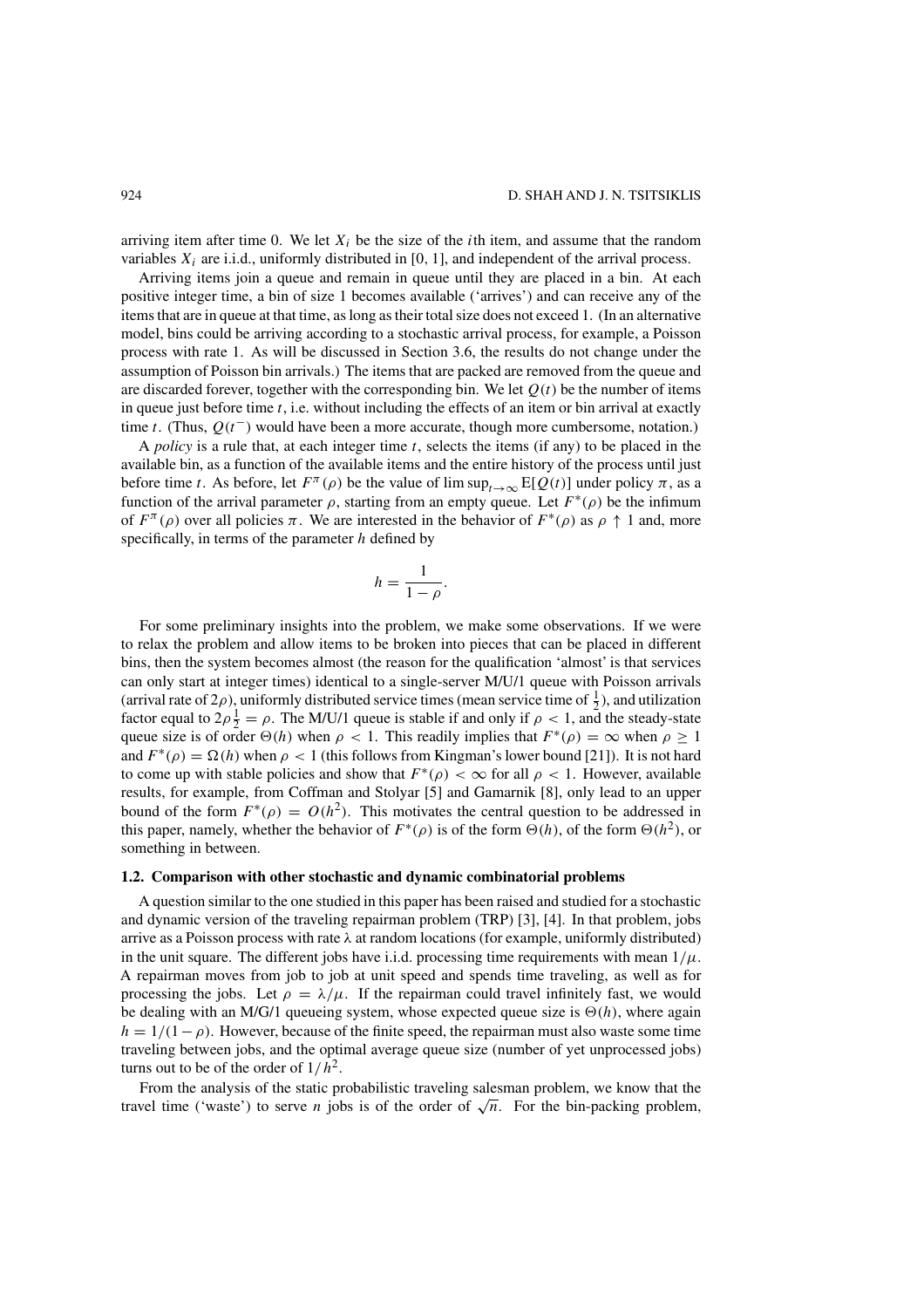arriving item after time 0. We let  $X_i$  be the size of the *i*th item, and assume that the random variables  $X_i$  are i.i.d., uniformly distributed in [0, 1], and independent of the arrival process.

Arriving items join a queue and remain in queue until they are placed in a bin. At each positive integer time, a bin of size 1 becomes available ('arrives') and can receive any of the items that are in queue at that time, as long as their total size does not exceed 1. (In an alternative model, bins could be arriving according to a stochastic arrival process, for example, a Poisson process with rate 1. As will be discussed in Section 3.6, the results do not change under the assumption of Poisson bin arrivals.) The items that are packed are removed from the queue and are discarded forever, together with the corresponding bin. We let  $Q(t)$  be the number of items in queue just before time  $t$ , i.e. without including the effects of an item or bin arrival at exactly time t. (Thus,  $Q(t^-)$  would have been a more accurate, though more cumbersome, notation.)

A *policy* is a rule that, at each integer time  $t$ , selects the items (if any) to be placed in the available bin, as a function of the available items and the entire history of the process until just before time t. As before, let  $F^{\pi}(\rho)$  be the value of lim sup<sub>t→∞</sub> E[Q(t)] under policy  $\pi$ , as a function of the arrival parameter  $\rho$ , starting from an empty queue. Let  $F^*(\rho)$  be the infimum of  $F^{\pi}(\rho)$  over all policies  $\pi$ . We are interested in the behavior of  $F^*(\rho)$  as  $\rho \uparrow 1$  and, more specifically, in terms of the parameter  $h$  defined by

$$
h=\frac{1}{1-\rho}.
$$

For some preliminary insights into the problem, we make some observations. If we were to relax the problem and allow items to be broken into pieces that can be placed in different bins, then the system becomes almost (the reason for the qualification 'almost' is that services can only start at integer times) identical to a single-server M/U/1 queue with Poisson arrivals (arrival rate of  $2\rho$ ), uniformly distributed service times (mean service time of  $\frac{1}{2}$ ), and utilization factor equal to  $2\rho \frac{1}{2} = \rho$ . The M/U/1 queue is stable if and only if  $\rho < 1$ , and the steady-state queue size is of order  $\Theta(h)$  when  $\rho < 1$ . This readily implies that  $F^*(\rho) = \infty$  when  $\rho \ge 1$ and  $F^*(\rho) = \Omega(h)$  when  $\rho < 1$  (this follows from Kingman's lower bound [21]). It is not hard to come up with stable policies and show that  $F^*(\rho) < \infty$  for all  $\rho < 1$ . However, available results, for example, from Coffman and Stolyar [5] and Gamarnik [8], only lead to an upper bound of the form  $F^*(\rho) = O(h^2)$ . This motivates the central question to be addressed in this paper, namely, whether the behavior of  $F^*(\rho)$  is of the form  $\Theta(h)$ , of the form  $\Theta(h^2)$ , or something in between.

#### **1.2. Comparison with other stochastic and dynamic combinatorial problems**

A question similar to the one studied in this paper has been raised and studied for a stochastic and dynamic version of the traveling repairman problem (TRP) [3], [4]. In that problem, jobs arrive as a Poisson process with rate  $\lambda$  at random locations (for example, uniformly distributed) in the unit square. The different jobs have i.i.d. processing time requirements with mean  $1/\mu$ . A repairman moves from job to job at unit speed and spends time traveling, as well as for processing the jobs. Let  $\rho = \lambda/\mu$ . If the repairman could travel infinitely fast, we would be dealing with an M/G/1 queueing system, whose expected queue size is  $\Theta(h)$ , where again  $h = 1/(1-\rho)$ . However, because of the finite speed, the repairman must also waste some time traveling between jobs, and the optimal average queue size (number of yet unprocessed jobs) turns out to be of the order of  $1/h^2$ .

From the analysis of the static probabilistic traveling salesman problem, we know that the travel time ('waste') to serve *n* jobs is of the order of  $\sqrt{n}$ . For the bin-packing problem,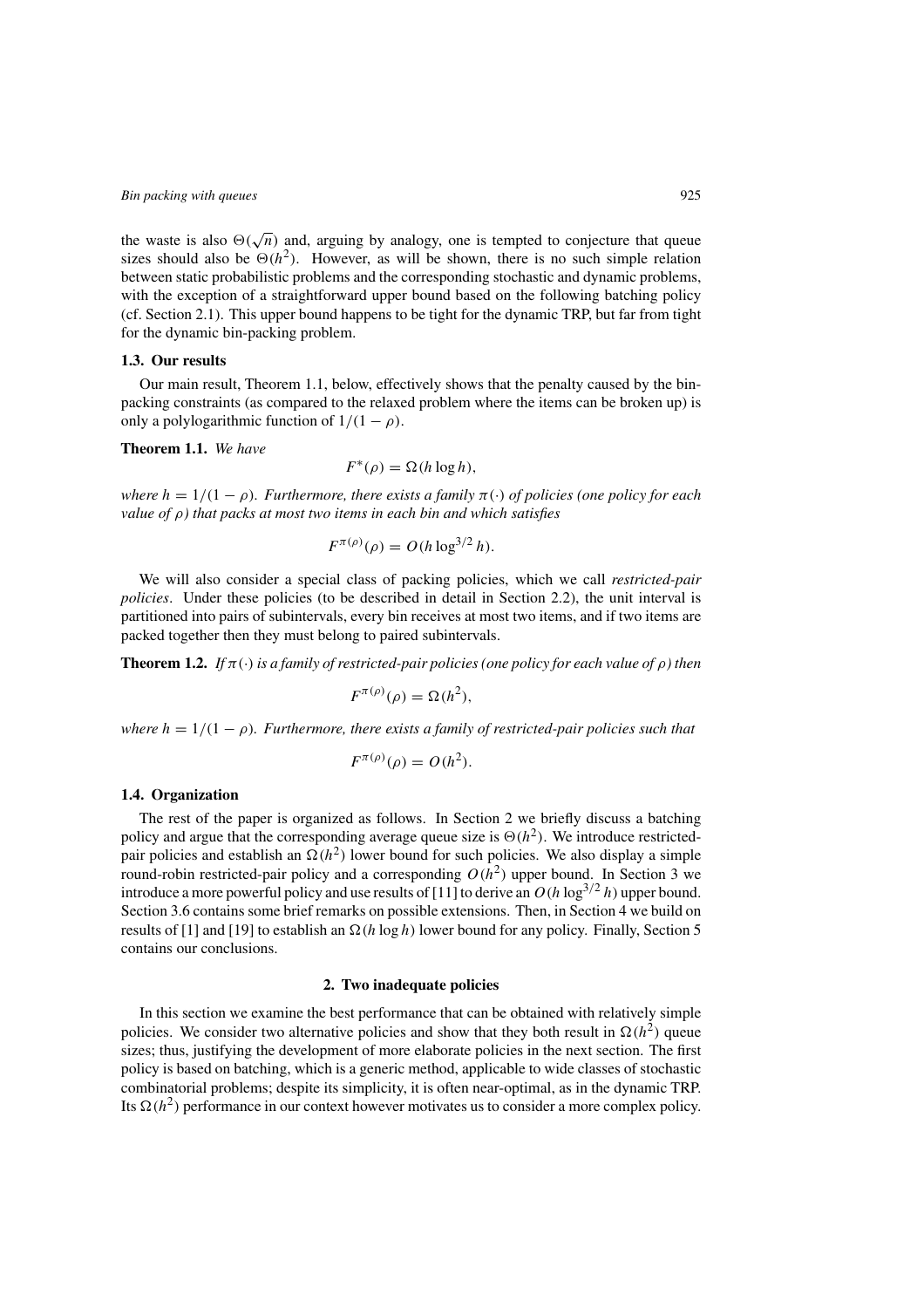the waste is also  $\Theta(\sqrt{n})$  and, arguing by analogy, one is tempted to conjecture that queue sizes should also be  $\Theta(h^2)$ . However, as will be shown, there is no such simple relation between static probabilistic problems and the corresponding stochastic and dynamic problems, with the exception of a straightforward upper bound based on the following batching policy (cf. Section 2.1). This upper bound happens to be tight for the dynamic TRP, but far from tight for the dynamic bin-packing problem.

# **1.3. Our results**

Our main result, Theorem 1.1, below, effectively shows that the penalty caused by the binpacking constraints (as compared to the relaxed problem where the items can be broken up) is only a polylogarithmic function of  $1/(1 - \rho)$ .

**Theorem 1.1.** *We have*

$$
F^*(\rho) = \Omega(h \log h),
$$

*where*  $h = 1/(1 - \rho)$ *. Furthermore, there exists a family*  $\pi(\cdot)$  *of policies (one policy for each value of* ρ*) that packs at most two items in each bin and which satisfies*

$$
F^{\pi(\rho)}(\rho) = O(h \log^{3/2} h).
$$

We will also consider a special class of packing policies, which we call *restricted-pair policies*. Under these policies (to be described in detail in Section 2.2), the unit interval is partitioned into pairs of subintervals, every bin receives at most two items, and if two items are packed together then they must belong to paired subintervals.

**Theorem 1.2.** *If*  $\pi(\cdot)$  *is a family of restricted-pair policies (one policy for each value of*  $\rho$ ) *then* 

$$
F^{\pi(\rho)}(\rho) = \Omega(h^2),
$$

*where*  $h = 1/(1 - \rho)$ *. Furthermore, there exists a family of restricted-pair policies such that* 

$$
F^{\pi(\rho)}(\rho) = O(h^2).
$$

### **1.4. Organization**

The rest of the paper is organized as follows. In Section 2 we briefly discuss a batching policy and argue that the corresponding average queue size is  $\Theta(h^2)$ . We introduce restrictedpair policies and establish an  $\Omega(h^2)$  lower bound for such policies. We also display a simple round-robin restricted-pair policy and a corresponding  $O(h^2)$  upper bound. In Section 3 we introduce a more powerful policy and use results of [11] to derive an  $O(h \log^{3/2} h)$  upper bound. Section 3.6 contains some brief remarks on possible extensions. Then, in Section 4 we build on results of [1] and [19] to establish an  $\Omega(h \log h)$  lower bound for any policy. Finally, Section 5 contains our conclusions.

# **2. Two inadequate policies**

In this section we examine the best performance that can be obtained with relatively simple policies. We consider two alternative policies and show that they both result in  $\Omega(h^2)$  queue sizes; thus, justifying the development of more elaborate policies in the next section. The first policy is based on batching, which is a generic method, applicable to wide classes of stochastic combinatorial problems; despite its simplicity, it is often near-optimal, as in the dynamic TRP. Its  $\Omega(h^2)$  performance in our context however motivates us to consider a more complex policy.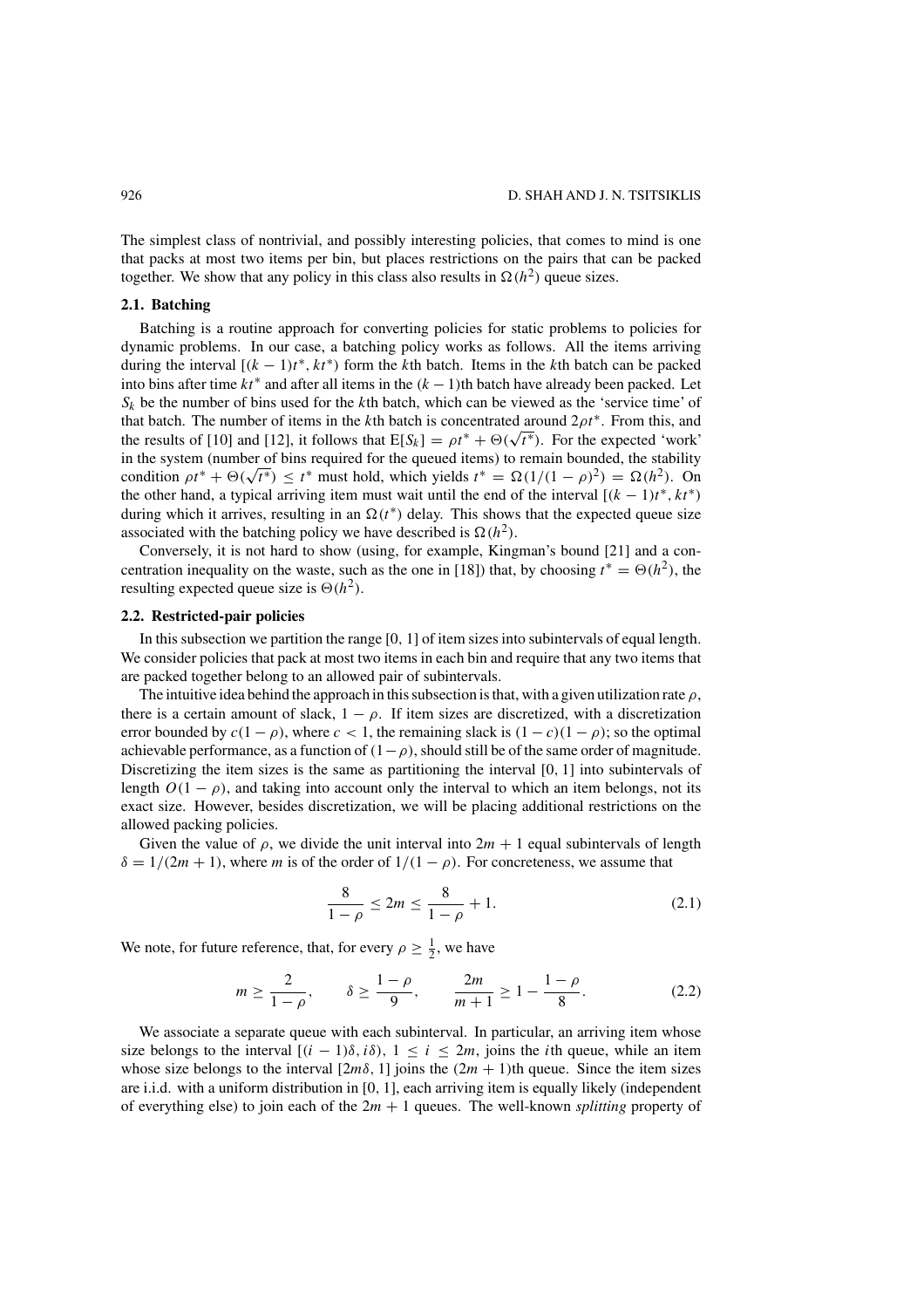The simplest class of nontrivial, and possibly interesting policies, that comes to mind is one that packs at most two items per bin, but places restrictions on the pairs that can be packed together. We show that any policy in this class also results in  $\Omega(h^2)$  queue sizes.

### **2.1. Batching**

Batching is a routine approach for converting policies for static problems to policies for dynamic problems. In our case, a batching policy works as follows. All the items arriving during the interval  $[(k - 1)t^*, kt^*)$  form the kth batch. Items in the kth batch can be packed into bins after time  $kt^*$  and after all items in the  $(k - 1)$ th batch have already been packed. Let  $S_k$  be the number of bins used for the kth batch, which can be viewed as the 'service time' of that batch. The number of items in the kth batch is concentrated around  $2\rho t^*$ . From this, and the results of [10] and [12], it follows that  $E[S_k] = \rho t^* + \Theta(\sqrt{t^*})$ . For the expected 'work' in the system (number of bins required for the queued items) to remain bounded, the stability in the system (number of bins required for the queued items) to remain bounded, the stability condition  $\rho t^* + \Theta(\sqrt{t^*}) \le t^*$  must hold, which yields  $t^* = \Omega(1/(1 - \rho)^2) = \Omega(h^2)$ . On the other hand, a typical arriving item must wait until the end of the interval  $[(k - 1)t^*, kt^*)$ during which it arrives, resulting in an  $\Omega(t^*)$  delay. This shows that the expected queue size associated with the batching policy we have described is  $\Omega(h^2)$ .

Conversely, it is not hard to show (using, for example, Kingman's bound [21] and a concentration inequality on the waste, such as the one in [18]) that, by choosing  $t^* = \Theta(h^2)$ , the resulting expected queue size is  $\Theta(h^2)$ .

# **2.2. Restricted-pair policies**

In this subsection we partition the range [0, 1] of item sizes into subintervals of equal length. We consider policies that pack at most two items in each bin and require that any two items that are packed together belong to an allowed pair of subintervals.

The intuitive idea behind the approach in this subsection is that, with a given utilization rate  $\rho$ , there is a certain amount of slack,  $1 - \rho$ . If item sizes are discretized, with a discretization error bounded by  $c(1 - \rho)$ , where  $c < 1$ , the remaining slack is  $(1 - c)(1 - \rho)$ ; so the optimal achievable performance, as a function of  $(1-\rho)$ , should still be of the same order of magnitude. Discretizing the item sizes is the same as partitioning the interval  $[0, 1]$  into subintervals of length  $O(1 - \rho)$ , and taking into account only the interval to which an item belongs, not its exact size. However, besides discretization, we will be placing additional restrictions on the allowed packing policies.

Given the value of  $\rho$ , we divide the unit interval into  $2m + 1$  equal subintervals of length  $\delta = 1/(2m + 1)$ , where m is of the order of  $1/(1 - \rho)$ . For concreteness, we assume that

$$
\frac{8}{1-\rho} \le 2m \le \frac{8}{1-\rho} + 1. \tag{2.1}
$$

We note, for future reference, that, for every  $\rho \geq \frac{1}{2}$ , we have

$$
m \ge \frac{2}{1-\rho}, \qquad \delta \ge \frac{1-\rho}{9}, \qquad \frac{2m}{m+1} \ge 1 - \frac{1-\rho}{8}.
$$
 (2.2)

We associate a separate queue with each subinterval. In particular, an arriving item whose size belongs to the interval  $[(i - 1)\delta, i\delta), 1 \le i \le 2m$ , joins the *i*th queue, while an item whose size belongs to the interval  $[2m\delta, 1]$  joins the  $(2m + 1)$ th queue. Since the item sizes are i.i.d. with a uniform distribution in [0, 1], each arriving item is equally likely (independent of everything else) to join each of the  $2m + 1$  queues. The well-known *splitting* property of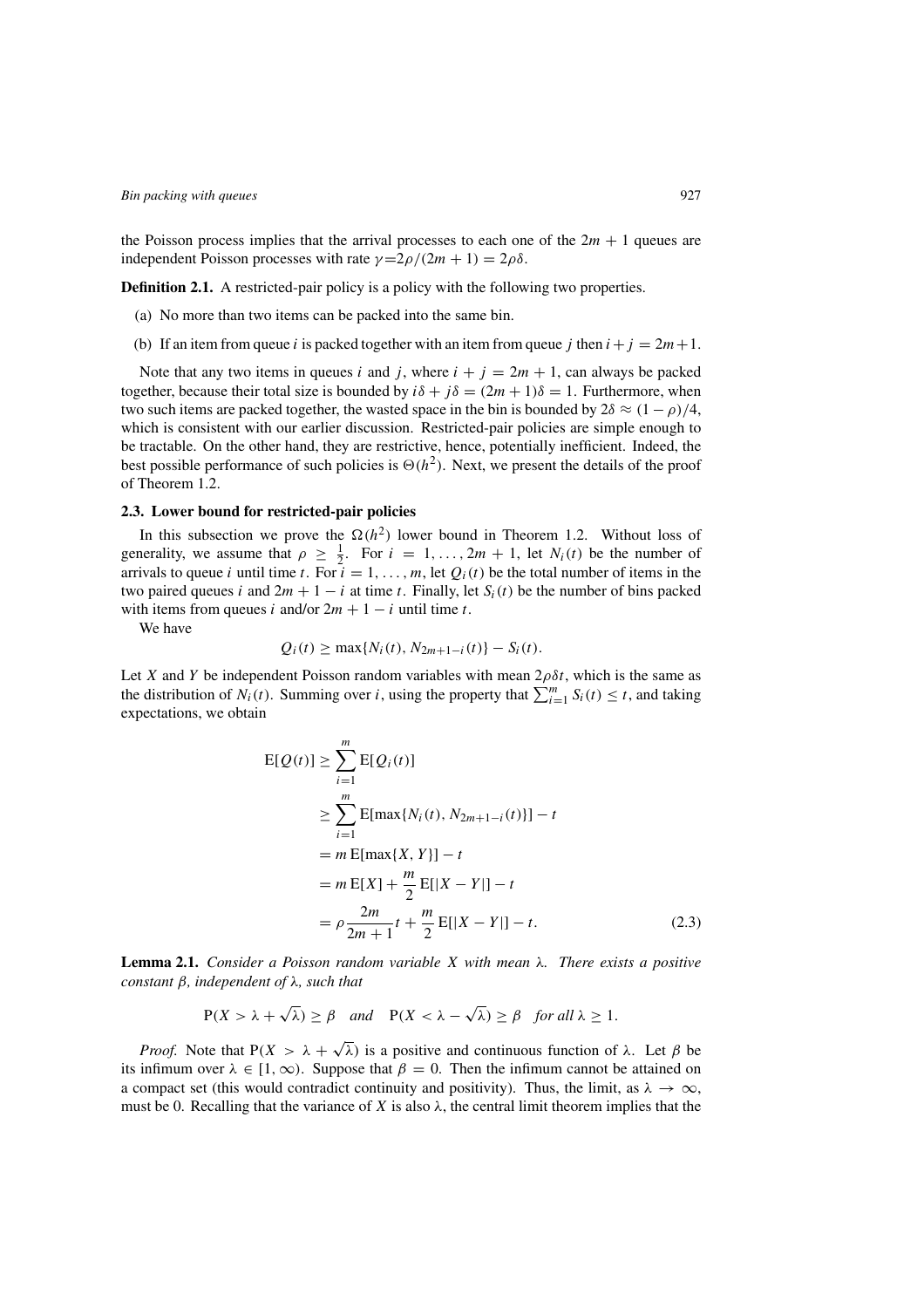the Poisson process implies that the arrival processes to each one of the  $2m + 1$  queues are independent Poisson processes with rate  $\gamma = 2\rho/(2m + 1) = 2\rho\delta$ .

**Definition 2.1.** A restricted-pair policy is a policy with the following two properties.

- (a) No more than two items can be packed into the same bin.
- (b) If an item from queue i is packed together with an item from queue j then  $i+j = 2m+1$ .

Note that any two items in queues i and j, where  $i + j = 2m + 1$ , can always be packed together, because their total size is bounded by  $i\delta + j\delta = (2m + 1)\delta = 1$ . Furthermore, when two such items are packed together, the wasted space in the bin is bounded by  $2\delta \approx (1 - \rho)/4$ , which is consistent with our earlier discussion. Restricted-pair policies are simple enough to be tractable. On the other hand, they are restrictive, hence, potentially inefficient. Indeed, the best possible performance of such policies is  $\Theta(h^2)$ . Next, we present the details of the proof of Theorem 1.2.

#### **2.3. Lower bound for restricted-pair policies**

In this subsection we prove the  $\Omega(h^2)$  lower bound in Theorem 1.2. Without loss of generality, we assume that  $\rho \geq \frac{1}{2}$ . For  $i = 1, ..., 2m + 1$ , let  $N_i(t)$  be the number of arrivals to queue i until time t. For  $i = 1, ..., m$ , let  $Q_i(t)$  be the total number of items in the two paired queues i and  $2m + 1 - i$  at time t. Finally, let  $S_i(t)$  be the number of bins packed with items from queues i and/or  $2m + 1 - i$  until time t.

We have

$$
Q_i(t) \ge \max\{N_i(t), N_{2m+1-i}(t)\} - S_i(t).
$$

Let X and Y be independent Poisson random variables with mean  $2\rho \delta t$ , which is the same as the distribution of  $N_i(t)$ . Summing over i, using the property that  $\sum_{i=1}^m S_i(t) \le t$ , and taking expectations, we obtain

$$
E[Q(t)] \geq \sum_{i=1}^{m} E[Q_i(t)]
$$
  
\n
$$
\geq \sum_{i=1}^{m} E[\max\{N_i(t), N_{2m+1-i}(t)\}] - t
$$
  
\n
$$
= m E[\max\{X, Y\}] - t
$$
  
\n
$$
= m E[X] + \frac{m}{2} E[|X - Y|] - t
$$
  
\n
$$
= \rho \frac{2m}{2m+1} t + \frac{m}{2} E[|X - Y|] - t.
$$
 (2.3)

**Lemma 2.1.** *Consider a Poisson random variable* X *with mean* λ*. There exists a positive constant* β*, independent of* λ*, such that*

$$
P(X > \lambda + \sqrt{\lambda}) \ge \beta
$$
 and  $P(X < \lambda - \sqrt{\lambda}) \ge \beta$  for all  $\lambda \ge 1$ .

*Proof.* Note that  $P(X > \lambda + \sqrt{\lambda})$  is a positive and continuous function of  $\lambda$ . Let  $\beta$  be its infimum over  $\lambda \in [1,\infty)$ . Suppose that  $\beta = 0$ . Then the infimum cannot be attained on a compact set (this would contradict continuity and positivity). Thus, the limit, as  $\lambda \to \infty$ , must be 0. Recalling that the variance of X is also  $\lambda$ , the central limit theorem implies that the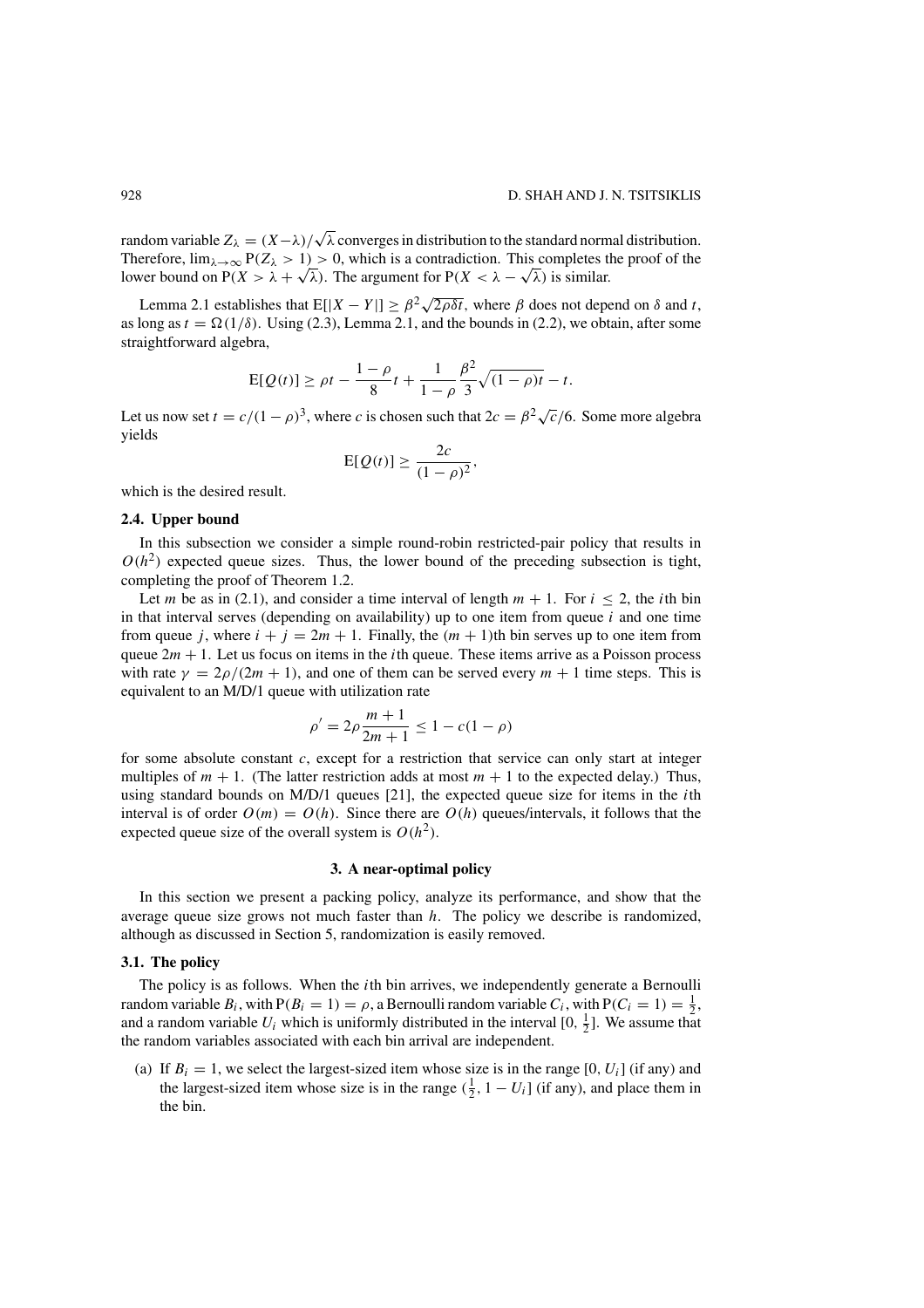random variable  $Z_{\lambda} = (X - \lambda)/\sqrt{\lambda}$  converges in distribution to the standard normal distribution. Therefore,  $\lim_{\lambda \to \infty} P(Z_{\lambda} > 1) > 0$ , which is a contradiction. This completes the proof of the lower bound on  $P(X > \lambda + \sqrt{\lambda})$ . The argument for  $P(X < \lambda - \sqrt{\lambda})$  is similar.

Lemma 2.1 establishes that  $E[|X - Y|] \ge \beta^2 \sqrt{2\rho \delta t}$ , where  $\beta$  does not depend on  $\delta$  and t, as long as  $t = \Omega(1/\delta)$ . Using (2.3), Lemma 2.1, and the bounds in (2.2), we obtain, after some straightforward algebra,

$$
E[Q(t)] \ge \rho t - \frac{1-\rho}{8}t + \frac{1}{1-\rho}\frac{\beta^2}{3}\sqrt{(1-\rho)t} - t.
$$

Let us now set  $t = c/(1 - \rho)^3$ , where c is chosen such that  $2c = \beta^2 \sqrt{c}/6$ . Some more algebra yields

$$
\mathrm{E}[Q(t)] \geq \frac{2c}{(1-\rho)^2},
$$

which is the desired result.

### **2.4. Upper bound**

In this subsection we consider a simple round-robin restricted-pair policy that results in  $O(h^2)$  expected queue sizes. Thus, the lower bound of the preceding subsection is tight, completing the proof of Theorem 1.2.

Let m be as in (2.1), and consider a time interval of length  $m + 1$ . For  $i < 2$ , the *i*th bin in that interval serves (depending on availability) up to one item from queue  $i$  and one time from queue j, where  $i + j = 2m + 1$ . Finally, the  $(m + 1)$ th bin serves up to one item from queue  $2m + 1$ . Let us focus on items in the *i*th queue. These items arrive as a Poisson process with rate  $\gamma = 2\rho/(2m + 1)$ , and one of them can be served every  $m + 1$  time steps. This is equivalent to an M/D/1 queue with utilization rate

$$
\rho' = 2\rho \frac{m+1}{2m+1} \le 1 - c(1-\rho)
$$

for some absolute constant  $c$ , except for a restriction that service can only start at integer multiples of  $m + 1$ . (The latter restriction adds at most  $m + 1$  to the expected delay.) Thus, using standard bounds on  $M/D/1$  queues [21], the expected queue size for items in the *i*th interval is of order  $O(m) = O(h)$ . Since there are  $O(h)$  queues/intervals, it follows that the expected queue size of the overall system is  $O(h^2)$ .

### **3. A near-optimal policy**

In this section we present a packing policy, analyze its performance, and show that the average queue size grows not much faster than  $h$ . The policy we describe is randomized, although as discussed in Section 5, randomization is easily removed.

# **3.1. The policy**

The policy is as follows. When the *i*th bin arrives, we independently generate a Bernoulli random variable  $B_i$ , with  $P(B_i = 1) = \rho$ , a Bernoulli random variable  $C_i$ , with  $P(C_i = 1) = \frac{1}{2}$ , and a random variable  $U_i$  which is uniformly distributed in the interval [0,  $\frac{1}{2}$ ]. We assume that the random variables associated with each bin arrival are independent.

(a) If  $B_i = 1$ , we select the largest-sized item whose size is in the range [0,  $U_i$ ] (if any) and the largest-sized item whose size is in the range  $(\frac{1}{2}, 1 - U_i]$  (if any), and place them in the bin.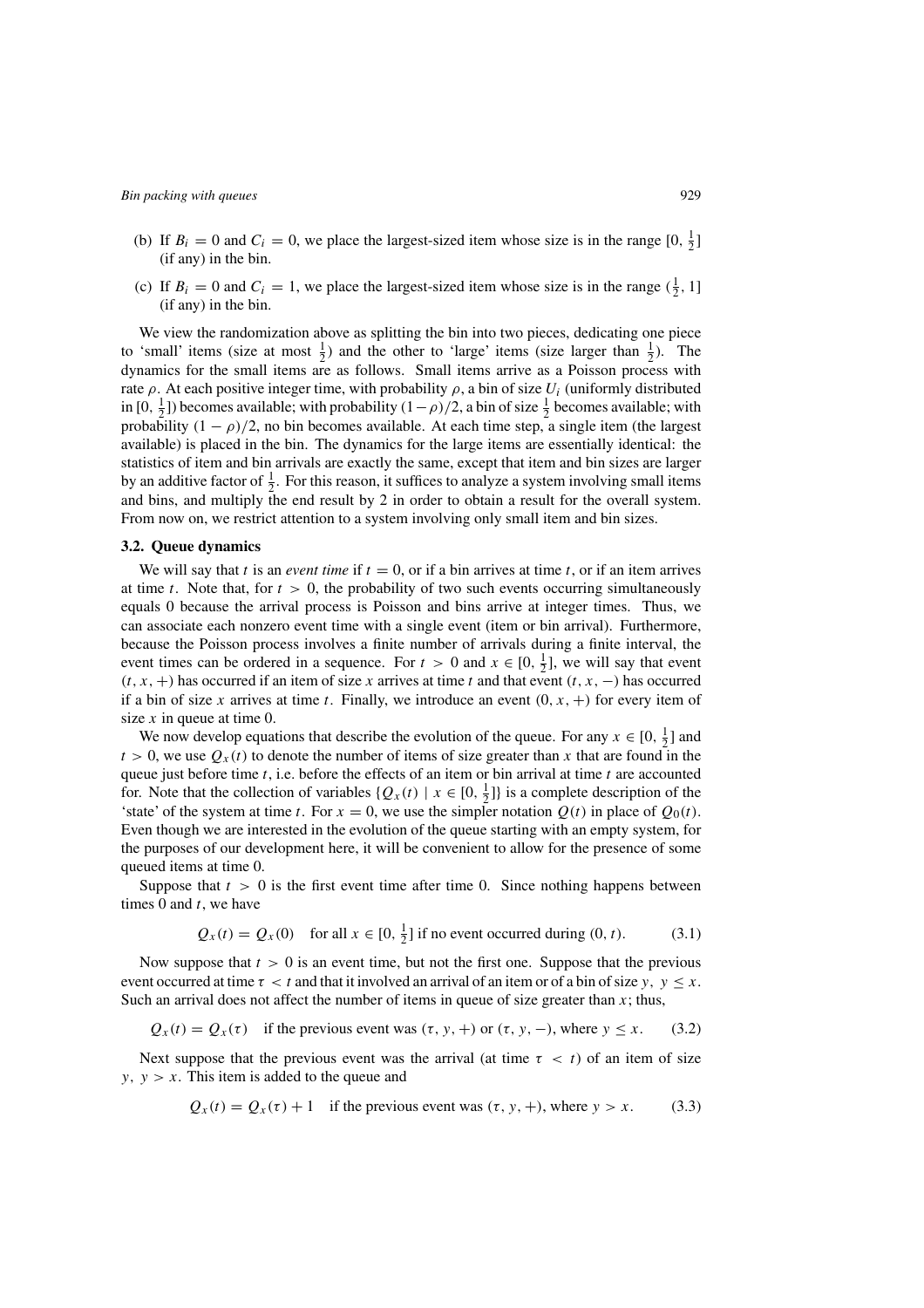(c) If  $B_i = 0$  and  $C_i = 1$ , we place the largest-sized item whose size is in the range  $(\frac{1}{2}, 1]$ (if any) in the bin.

We view the randomization above as splitting the bin into two pieces, dedicating one piece to 'small' items (size at most  $\frac{1}{2}$ ) and the other to 'large' items (size larger than  $\frac{1}{2}$ ). The dynamics for the small items are as follows. Small items arrive as a Poisson process with rate  $\rho$ . At each positive integer time, with probability  $\rho$ , a bin of size  $U_i$  (uniformly distributed in [0,  $\frac{1}{2}$ ]) becomes available; with probability  $(1 - \rho)/2$ , a bin of size  $\frac{1}{2}$  becomes available; with probability  $(1 - \rho)/2$ , no bin becomes available. At each time step, a single item (the largest available) is placed in the bin. The dynamics for the large items are essentially identical: the statistics of item and bin arrivals are exactly the same, except that item and bin sizes are larger by an additive factor of  $\frac{1}{2}$ . For this reason, it suffices to analyze a system involving small items and bins, and multiply the end result by 2 in order to obtain a result for the overall system. From now on, we restrict attention to a system involving only small item and bin sizes.

#### **3.2. Queue dynamics**

We will say that t is an *event time* if  $t = 0$ , or if a bin arrives at time t, or if an item arrives at time t. Note that, for  $t > 0$ , the probability of two such events occurring simultaneously equals 0 because the arrival process is Poisson and bins arrive at integer times. Thus, we can associate each nonzero event time with a single event (item or bin arrival). Furthermore, because the Poisson process involves a finite number of arrivals during a finite interval, the event times can be ordered in a sequence. For  $t > 0$  and  $x \in [0, \frac{1}{2}]$ , we will say that event  $(t, x, +)$  has occurred if an item of size x arrives at time t and that event  $(t, x, -)$  has occurred if a bin of size x arrives at time t. Finally, we introduce an event  $(0, x, +)$  for every item of size  $x$  in queue at time 0.

We now develop equations that describe the evolution of the queue. For any  $x \in [0, \frac{1}{2}]$  and  $t > 0$ , we use  $Q_x(t)$  to denote the number of items of size greater than x that are found in the queue just before time  $t$ , i.e. before the effects of an item or bin arrival at time  $t$  are accounted for. Note that the collection of variables  $\{Q_x(t) | x \in [0, \frac{1}{2}]\}$  is a complete description of the 'state' of the system at time t. For  $x = 0$ , we use the simpler notation  $Q(t)$  in place of  $Q_0(t)$ . Even though we are interested in the evolution of the queue starting with an empty system, for the purposes of our development here, it will be convenient to allow for the presence of some queued items at time 0.

Suppose that  $t > 0$  is the first event time after time 0. Since nothing happens between times 0 and  $t$ , we have

$$
Q_x(t) = Q_x(0) \quad \text{for all } x \in [0, \frac{1}{2}] \text{ if no event occurred during } (0, t). \tag{3.1}
$$

Now suppose that  $t > 0$  is an event time, but not the first one. Suppose that the previous event occurred at time  $\tau < t$  and that it involved an arrival of an item or of a bin of size y,  $y \leq x$ . Such an arrival does not affect the number of items in queue of size greater than  $x$ ; thus,

$$
Q_x(t) = Q_x(\tau)
$$
 if the previous event was  $(\tau, y, +)$  or  $(\tau, y, -)$ , where  $y \le x$ . (3.2)

Next suppose that the previous event was the arrival (at time  $\tau < t$ ) of an item of size  $y, y > x$ . This item is added to the queue and

$$
Q_x(t) = Q_x(\tau) + 1
$$
 if the previous event was  $(\tau, y, +)$ , where  $y > x$ . (3.3)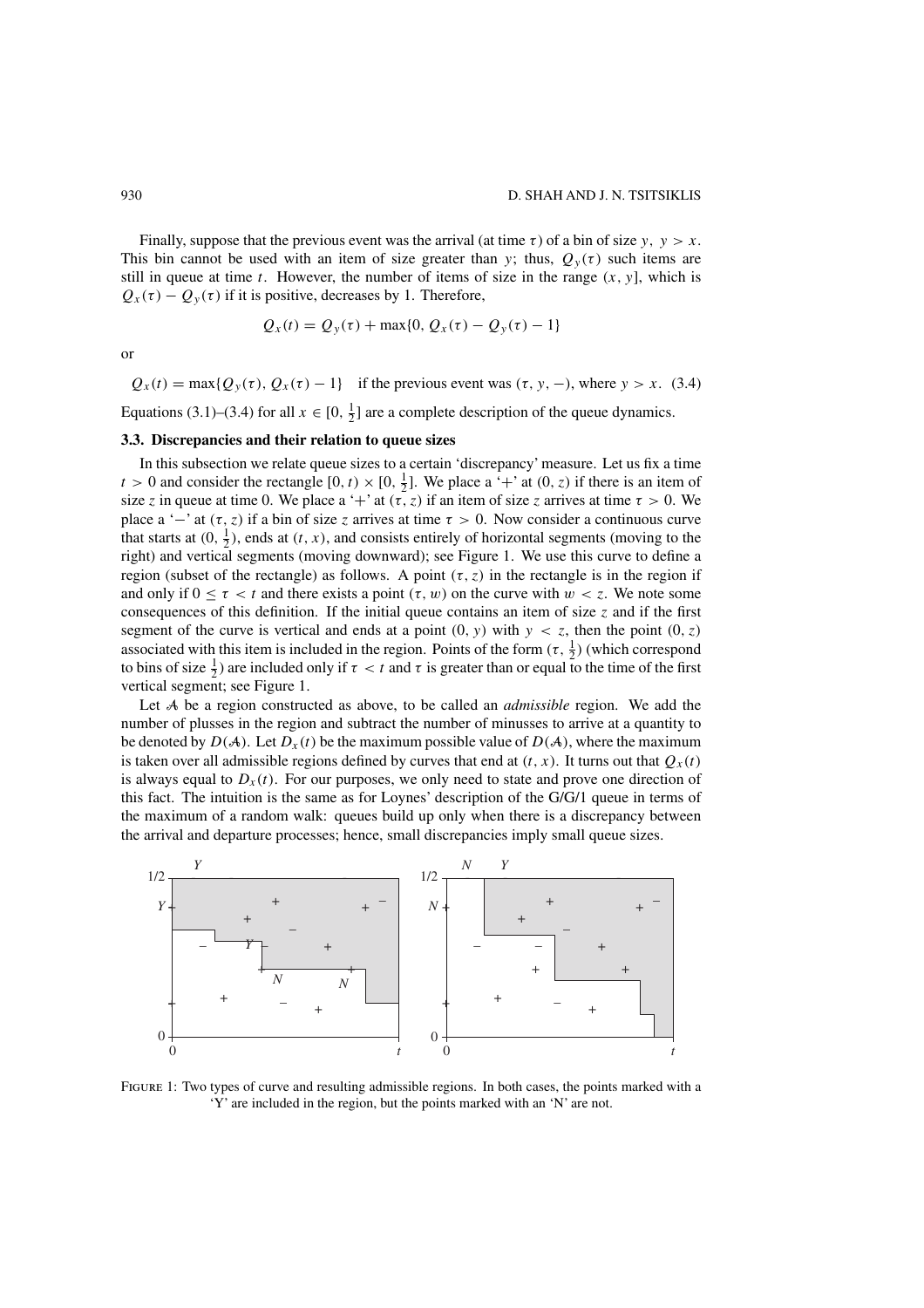Finally, suppose that the previous event was the arrival (at time  $\tau$ ) of a bin of size y,  $y > x$ . This bin cannot be used with an item of size greater than y; thus,  $Q_y(\tau)$  such items are still in queue at time t. However, the number of items of size in the range  $(x, y)$ , which is  $Q_x(\tau) - Q_y(\tau)$  if it is positive, decreases by 1. Therefore,

$$
Q_x(t) = Q_y(\tau) + \max\{0, Q_x(\tau) - Q_y(\tau) - 1\}
$$

or

 $Q_x(t) = \max\{Q_y(\tau), Q_x(\tau) - 1\}$  if the previous event was  $(\tau, y, -)$ , where  $y > x$ . (3.4)

Equations (3.1)–(3.4) for all  $x \in [0, \frac{1}{2}]$  are a complete description of the queue dynamics.

# **3.3. Discrepancies and their relation to queue sizes**

In this subsection we relate queue sizes to a certain 'discrepancy' measure. Let us fix a time  $t > 0$  and consider the rectangle  $[0, t) \times [0, \frac{1}{2}]$ . We place a '+' at  $(0, z)$  if there is an item of size z in queue at time 0. We place a '+' at  $(\tau, z)$  if an item of size z arrives at time  $\tau > 0$ . We place a '−' at  $(\tau, z)$  if a bin of size z arrives at time  $\tau > 0$ . Now consider a continuous curve that starts at  $(0, \frac{1}{2})$ , ends at  $(t, x)$ , and consists entirely of horizontal segments (moving to the right) and vertical segments (moving downward); see Figure 1. We use this curve to define a region (subset of the rectangle) as follows. A point  $(\tau, z)$  in the rectangle is in the region if and only if  $0 \le \tau \le t$  and there exists a point  $(\tau, w)$  on the curve with  $w \le \tau$ . We note some consequences of this definition. If the initial queue contains an item of size  $\zeta$  and if the first segment of the curve is vertical and ends at a point  $(0, y)$  with  $y < z$ , then the point  $(0, z)$ associated with this item is included in the region. Points of the form  $(\tau, \frac{1}{2})$  (which correspond to bins of size  $\frac{1}{2}$ ) are included only if  $\tau < t$  and  $\tau$  is greater than or equal to the time of the first vertical segment; see Figure 1.

Let A be a region constructed as above, to be called an *admissible* region. We add the number of plusses in the region and subtract the number of minusses to arrive at a quantity to be denoted by  $D(A)$ . Let  $D_x(t)$  be the maximum possible value of  $D(A)$ , where the maximum is taken over all admissible regions defined by curves that end at  $(t, x)$ . It turns out that  $Q_x(t)$ is always equal to  $D_x(t)$ . For our purposes, we only need to state and prove one direction of this fact. The intuition is the same as for Loynes' description of the G/G/1 queue in terms of the maximum of a random walk: queues build up only when there is a discrepancy between the arrival and departure processes; hence, small discrepancies imply small queue sizes.



FIGURE 1: Two types of curve and resulting admissible regions. In both cases, the points marked with a 'Y' are included in the region, but the points marked with an 'N' are not.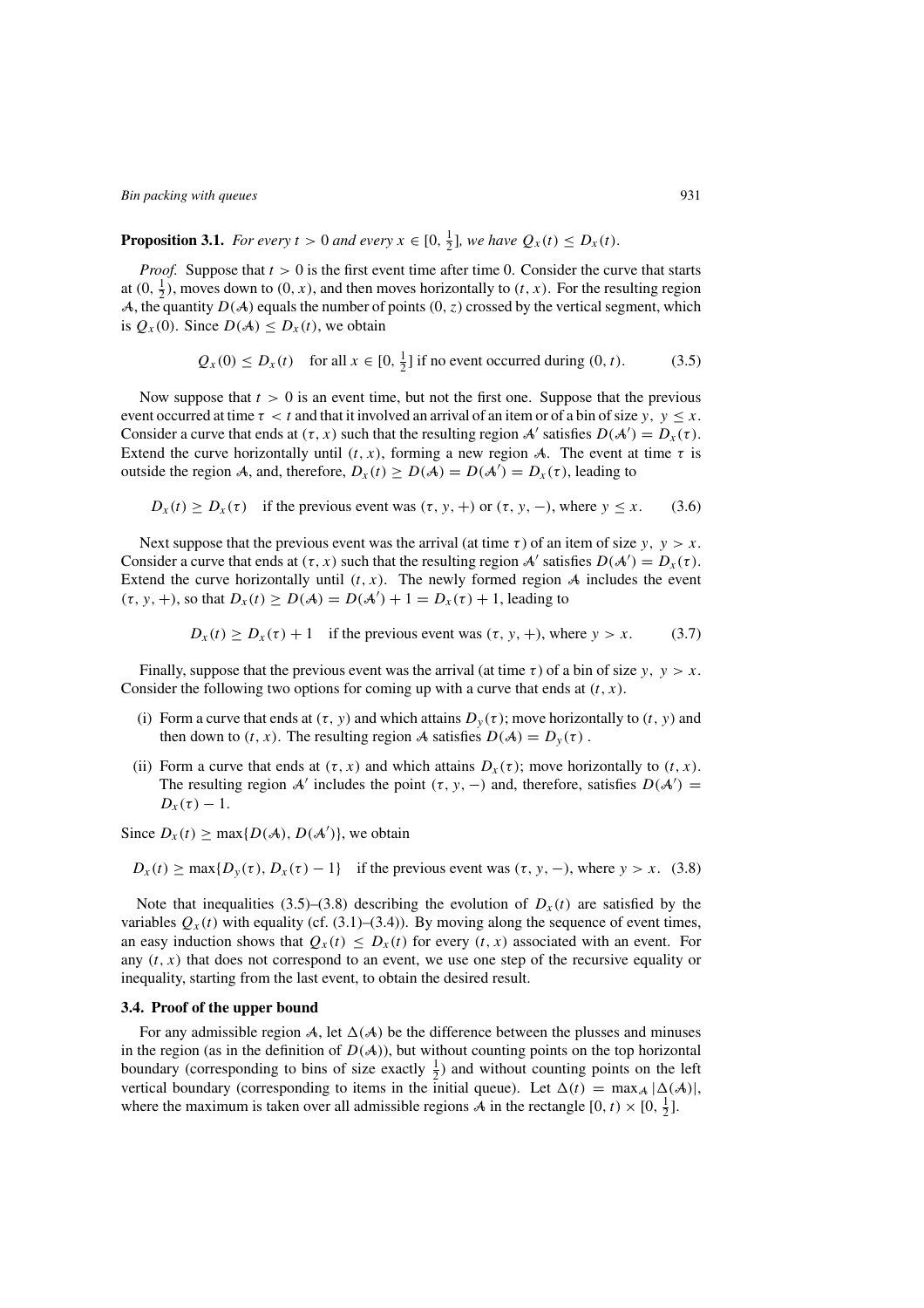**Proposition 3.1.** *For every*  $t > 0$  *and every*  $x \in [0, \frac{1}{2}]$ *, we have*  $Q_x(t) \leq D_x(t)$ *.* 

*Proof.* Suppose that  $t > 0$  is the first event time after time 0. Consider the curve that starts at  $(0, \frac{1}{2})$ , moves down to  $(0, x)$ , and then moves horizontally to  $(t, x)$ . For the resulting region A, the quantity  $D(A)$  equals the number of points  $(0, z)$  crossed by the vertical segment, which is  $Q_x(0)$ . Since  $D(A) \leq D_x(t)$ , we obtain

$$
Q_x(0) \leq D_x(t)
$$
 for all  $x \in [0, \frac{1}{2}]$  if no event occurred during  $(0, t)$ . (3.5)

Now suppose that  $t > 0$  is an event time, but not the first one. Suppose that the previous event occurred at time  $\tau < t$  and that it involved an arrival of an item or of a bin of size y,  $y \le x$ . Consider a curve that ends at  $(\tau, x)$  such that the resulting region A' satisfies  $D(A') = D_x(\tau)$ . Extend the curve horizontally until  $(t, x)$ , forming a new region A. The event at time  $\tau$  is outside the region A, and, therefore,  $D_x(t) \ge D(A) = D(A') = D_x(\tau)$ , leading to

$$
D_x(t) \ge D_x(\tau)
$$
 if the previous event was  $(\tau, y, +)$  or  $(\tau, y, -)$ , where  $y \le x$ . (3.6)

Next suppose that the previous event was the arrival (at time  $\tau$ ) of an item of size y,  $y > x$ . Consider a curve that ends at  $(\tau, x)$  such that the resulting region A' satisfies  $D(A') = D_x(\tau)$ . Extend the curve horizontally until  $(t, x)$ . The newly formed region A includes the event  $(\tau, y, +)$ , so that  $D_x(t) \ge D(A) = D(A') + 1 = D_x(\tau) + 1$ , leading to

$$
D_x(t) \ge D_x(\tau) + 1
$$
 if the previous event was  $(\tau, y, +)$ , where  $y > x$ . (3.7)

Finally, suppose that the previous event was the arrival (at time  $\tau$ ) of a bin of size y,  $y > x$ . Consider the following two options for coming up with a curve that ends at  $(t, x)$ .

- (i) Form a curve that ends at  $(\tau, y)$  and which attains  $D_y(\tau)$ ; move horizontally to  $(t, y)$  and then down to  $(t, x)$ . The resulting region A satisfies  $D(A) = D<sub>y</sub>(\tau)$ .
- (ii) Form a curve that ends at  $(\tau, x)$  and which attains  $D_x(\tau)$ ; move horizontally to  $(t, x)$ . The resulting region A' includes the point  $(\tau, y, -)$  and, therefore, satisfies  $D(A') =$  $D_x(\tau)-1$ .

Since  $D_x(t) \ge \max\{D(A), D(A')\}$ , we obtain

 $D_x(t) \ge \max\{D_y(\tau), D_x(\tau) - 1\}$  if the previous event was  $(\tau, y, -)$ , where  $y > x$ . (3.8)

Note that inequalities (3.5)–(3.8) describing the evolution of  $D_x(t)$  are satisfied by the variables  $Q_x(t)$  with equality (cf. (3.1)–(3.4)). By moving along the sequence of event times, an easy induction shows that  $Q_x(t) \leq D_x(t)$  for every  $(t, x)$  associated with an event. For any  $(t, x)$  that does not correspond to an event, we use one step of the recursive equality or inequality, starting from the last event, to obtain the desired result.

### **3.4. Proof of the upper bound**

For any admissible region A, let  $\Delta(A)$  be the difference between the plusses and minuses in the region (as in the definition of  $D(A)$ ), but without counting points on the top horizontal boundary (corresponding to bins of size exactly  $\frac{1}{2}$ ) and without counting points on the left vertical boundary (corresponding to items in the initial queue). Let  $\Delta(t) = \max_{\mathcal{A}} |\Delta(\mathcal{A})|$ , where the maximum is taken over all admissible regions  $\vec{A}$  in the rectangle  $[0, t) \times [0, \frac{1}{2}]$ .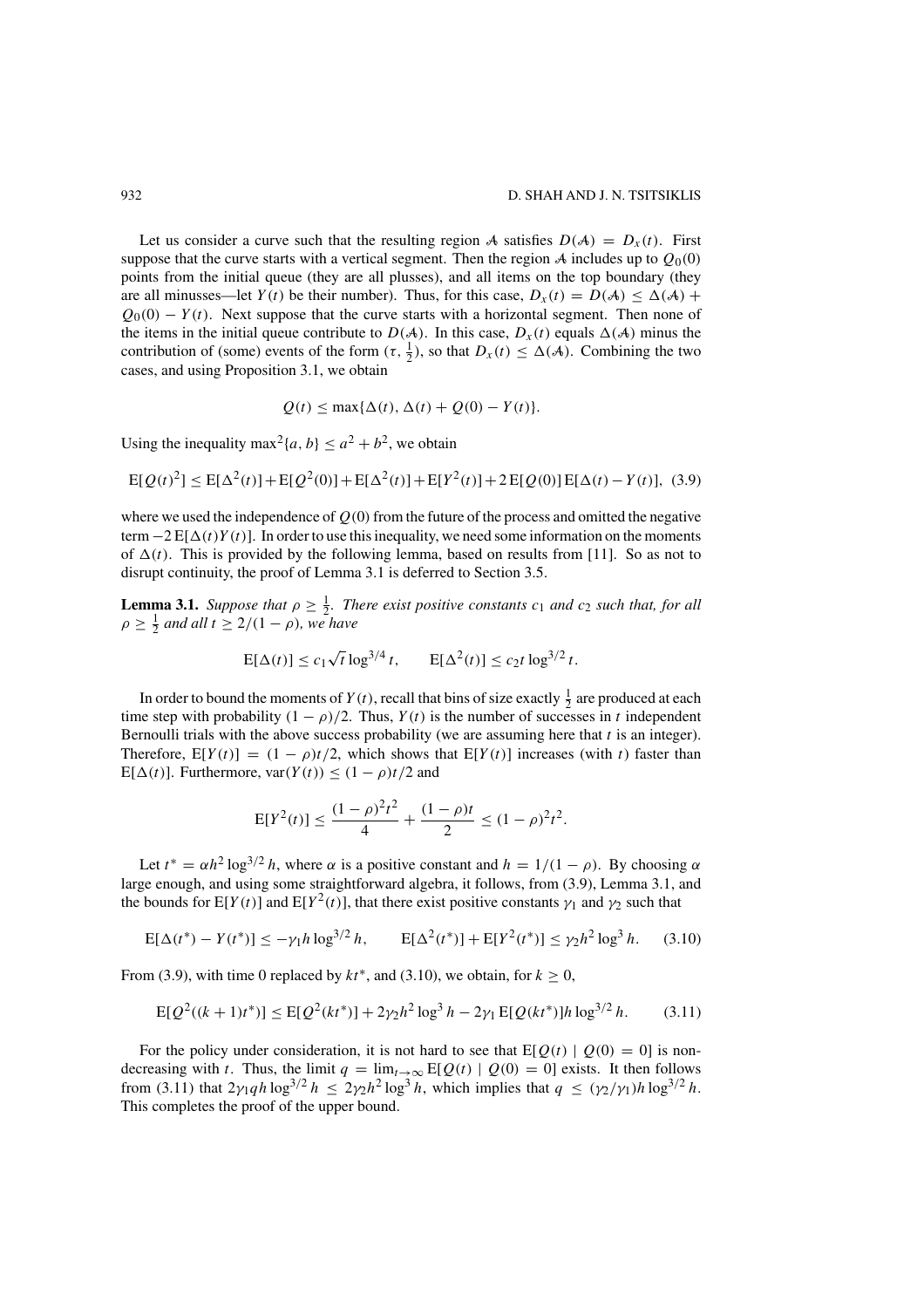Let us consider a curve such that the resulting region A satisfies  $D(A) = D_x(t)$ . First suppose that the curve starts with a vertical segment. Then the region A includes up to  $O_0(0)$ points from the initial queue (they are all plusses), and all items on the top boundary (they are all minusses—let  $Y(t)$  be their number). Thus, for this case,  $D_X(t) = D(A) \leq \Delta(A)$  +  $Q_0(0) - Y(t)$ . Next suppose that the curve starts with a horizontal segment. Then none of the items in the initial queue contribute to  $D(A)$ . In this case,  $D_x(t)$  equals  $\Delta(A)$  minus the contribution of (some) events of the form  $(\tau, \frac{1}{2})$ , so that  $D_x(t) \leq \Delta(\mathcal{A})$ . Combining the two cases, and using Proposition 3.1, we obtain

$$
Q(t) \le \max\{\Delta(t), \Delta(t) + Q(0) - Y(t)\}.
$$

Using the inequality max<sup>2</sup> $\{a, b\} \le a^2 + b^2$ , we obtain

$$
E[Q(t)^{2}] \le E[\Delta^{2}(t)] + E[Q^{2}(0)] + E[\Delta^{2}(t)] + E[Y^{2}(t)] + 2E[Q(0)]E[\Delta(t) - Y(t)], (3.9)
$$

where we used the independence of  $Q(0)$  from the future of the process and omitted the negative term  $-2E[\Delta(t)Y(t)]$ . In order to use this inequality, we need some information on the moments of  $\Delta(t)$ . This is provided by the following lemma, based on results from [11]. So as not to disrupt continuity, the proof of Lemma 3.1 is deferred to Section 3.5.

**Lemma 3.1.** *Suppose that*  $\rho \geq \frac{1}{2}$ *. There exist positive constants*  $c_1$  *and*  $c_2$  *such that, for all*  $\rho \geq \frac{1}{2}$  and all  $t \geq 2/(1 - \rho)$ , we have

$$
E[\Delta(t)] \le c_1 \sqrt{t} \log^{3/4} t
$$
,  $E[\Delta^2(t)] \le c_2 t \log^{3/2} t$ .

In order to bound the moments of  $Y(t)$ , recall that bins of size exactly  $\frac{1}{2}$  are produced at each time step with probability  $(1 - \rho)/2$ . Thus,  $Y(t)$  is the number of successes in t independent Bernoulli trials with the above success probability (we are assuming here that  $t$  is an integer). Therefore,  $E[Y(t)] = (1 - \rho)t/2$ , which shows that  $E[Y(t)]$  increases (with t) faster than  $E[\Delta(t)]$ . Furthermore,  $var(Y(t)) \leq (1 - \rho)t/2$  and

$$
E[Y^{2}(t)] \le \frac{(1-\rho)^{2}t^{2}}{4} + \frac{(1-\rho)t}{2} \le (1-\rho)^{2}t^{2}.
$$

Let  $t^* = \alpha h^2 \log^{3/2} h$ , where  $\alpha$  is a positive constant and  $h = 1/(1 - \rho)$ . By choosing  $\alpha$ large enough, and using some straightforward algebra, it follows, from (3.9), Lemma 3.1, and the bounds for  $E[Y(t)]$  and  $E[Y^2(t)]$ , that there exist positive constants  $\gamma_1$  and  $\gamma_2$  such that

$$
E[\Delta(t^*) - Y(t^*)] \le -\gamma_1 h \log^{3/2} h, \qquad E[\Delta^2(t^*)] + E[Y^2(t^*)] \le \gamma_2 h^2 \log^3 h. \tag{3.10}
$$

From (3.9), with time 0 replaced by  $kt^*$ , and (3.10), we obtain, for  $k > 0$ ,

$$
E[Q^{2}((k+1)t^{*})] \leq E[Q^{2}(kt^{*})] + 2\gamma_{2}h^{2}\log^{3}h - 2\gamma_{1}E[Q(kt^{*})]h\log^{3/2}h.
$$
 (3.11)

For the policy under consideration, it is not hard to see that  $E[Q(t) | Q(0) = 0]$  is nondecreasing with t. Thus, the limit  $q = \lim_{t\to\infty} E[Q(t) | Q(0) = 0]$  exists. It then follows from (3.11) that  $2\gamma_1qh \log^{3/2} h \leq 2\gamma_2h^2 \log^3 h$ , which implies that  $q \leq (\gamma_2/\gamma_1)h \log^{3/2} h$ . This completes the proof of the upper bound.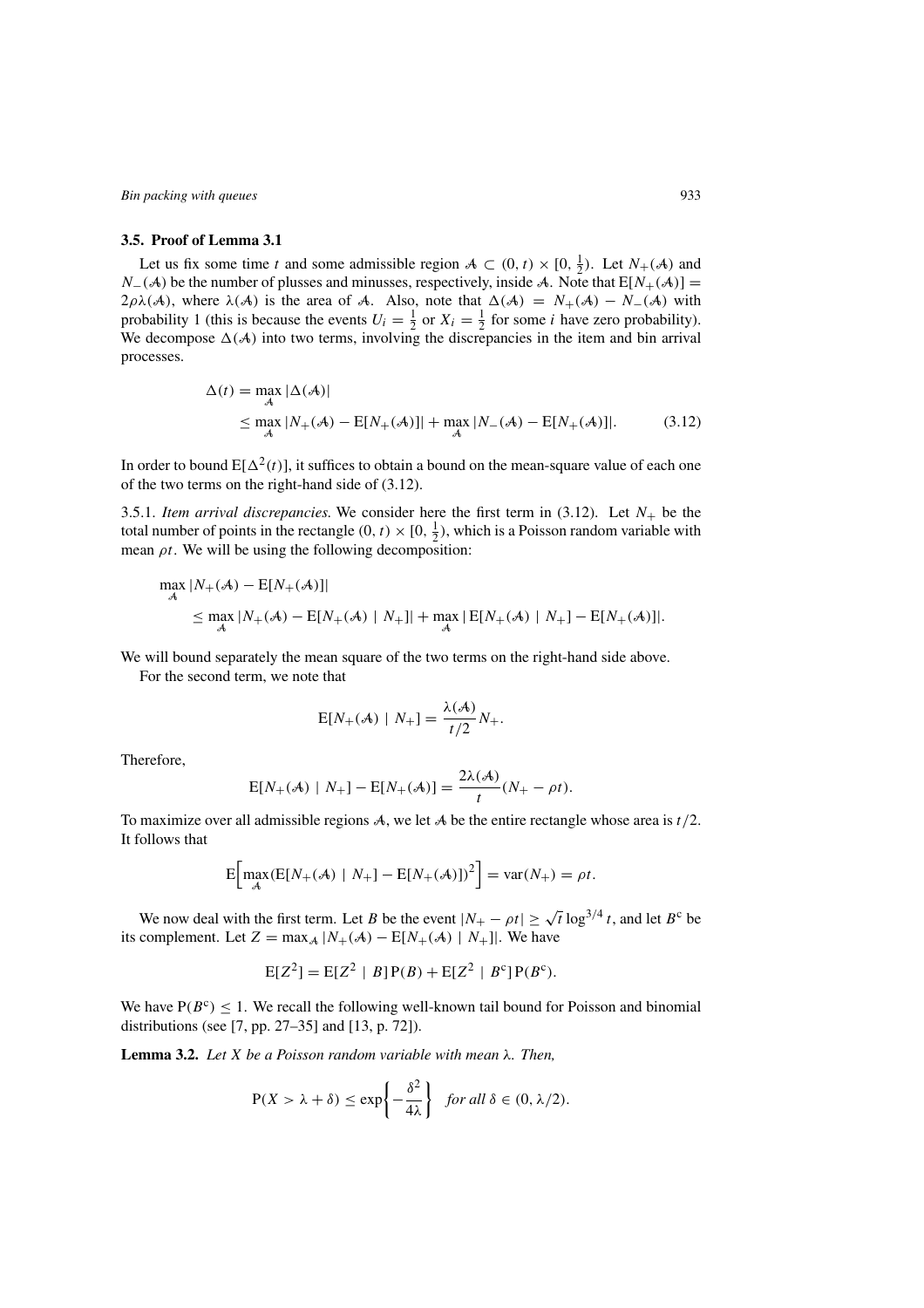### **3.5. Proof of Lemma 3.1**

Let us fix some time t and some admissible region  $A \subset (0, t) \times [0, \frac{1}{2})$ . Let  $N_{+}(A)$  and  $N_{-}(\mathcal{A})$  be the number of plusses and minusses, respectively, inside A. Note that  $E[N_{+}(\mathcal{A})] =$  $2\rho\lambda(\mathcal{A})$ , where  $\lambda(\mathcal{A})$  is the area of A. Also, note that  $\Delta(\mathcal{A}) = N_+(\mathcal{A}) - N_-(\mathcal{A})$  with probability 1 (this is because the events  $U_i = \frac{1}{2}$  or  $X_i = \frac{1}{2}$  for some *i* have zero probability). We decompose  $\Delta(A)$  into two terms, involving the discrepancies in the item and bin arrival processes.

$$
\Delta(t) = \max_{\mathcal{A}} |\Delta(\mathcal{A})|
$$
  
 
$$
\leq \max_{\mathcal{A}} |N_{+}(\mathcal{A}) - E[N_{+}(\mathcal{A})]| + \max_{\mathcal{A}} |N_{-}(\mathcal{A}) - E[N_{+}(\mathcal{A})]|.
$$
 (3.12)

In order to bound  $E[\Delta^2(t)]$ , it suffices to obtain a bound on the mean-square value of each one of the two terms on the right-hand side of (3.12).

3.5.1. *Item arrival discrepancies.* We consider here the first term in  $(3.12)$ . Let  $N_+$  be the total number of points in the rectangle  $(0, t) \times [0, \frac{1}{2})$ , which is a Poisson random variable with mean  $\rho t$ . We will be using the following decomposition:

$$
\max_{\mathcal{A}} |N_{+}(\mathcal{A}) - \mathbb{E}[N_{+}(\mathcal{A})]|
$$
\n
$$
\leq \max_{\mathcal{A}} |N_{+}(\mathcal{A}) - \mathbb{E}[N_{+}(\mathcal{A}) | N_{+}]| + \max_{\mathcal{A}} |\mathbb{E}[N_{+}(\mathcal{A}) | N_{+}] - \mathbb{E}[N_{+}(\mathcal{A})]|.
$$

We will bound separately the mean square of the two terms on the right-hand side above.

For the second term, we note that

$$
E[N_{+}(\mathcal{A}) \mid N_{+}] = \frac{\lambda(\mathcal{A})}{t/2} N_{+}.
$$

Therefore,

$$
E[N_{+}(A) | N_{+}] - E[N_{+}(A)] = \frac{2\lambda(A)}{t}(N_{+} - \rho t).
$$

To maximize over all admissible regions  $A$ , we let  $A$  be the entire rectangle whose area is  $t/2$ . It follows that

$$
E\bigg[\max_{\mathcal{A}} (E[N_{+}(\mathcal{A}) \mid N_{+}] - E[N_{+}(\mathcal{A})])^{2}\bigg] = \text{var}(N_{+}) = \rho t.
$$

We now deal with the first term. Let B be the event  $|N_+ - \rho t| \geq \sqrt{t} \log^{3/4} t$ , and let B<sup>c</sup> be its complement. Let  $Z = \max_{A} |N_{+}(A) - E[N_{+}(A) | N_{+}]|$ . We have

$$
E[Z^{2}] = E[Z^{2} | B] P(B) + E[Z^{2} | B^{c}] P(B^{c}).
$$

We have  $P(B^c) \le 1$ . We recall the following well-known tail bound for Poisson and binomial distributions (see [7, pp. 27–35] and [13, p. 72]).

**Lemma 3.2.** *Let* X *be a Poisson random variable with mean* λ*. Then,*

$$
P(X > \lambda + \delta) \le \exp\left\{-\frac{\delta^2}{4\lambda}\right\} \text{ for all } \delta \in (0, \lambda/2).
$$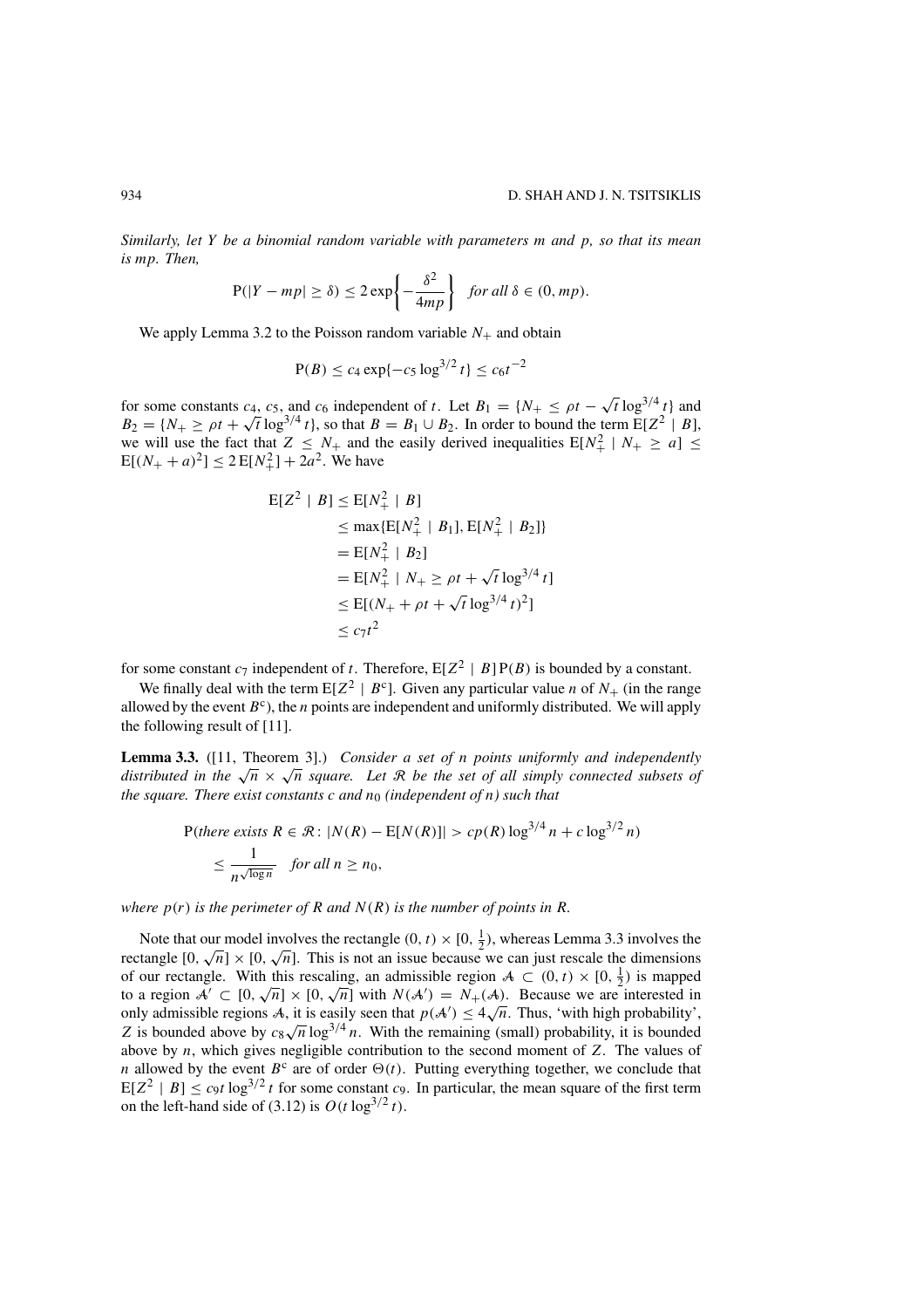*Similarly, let* Y *be a binomial random variable with parameters* m *and* p*, so that its mean is* mp*. Then,*

$$
P(|Y - mp| \ge \delta) \le 2 \exp\left\{-\frac{\delta^2}{4mp}\right\} \text{ for all } \delta \in (0, mp).
$$

We apply Lemma 3.2 to the Poisson random variable  $N_+$  and obtain

$$
P(B) \le c_4 \exp\{-c_5 \log^{3/2} t\} \le c_6 t^{-2}
$$

for some constants  $c_4$ ,  $c_5$ , and  $c_6$  independent of t. Let  $B_1 = \{N_+ \le \rho t - \sqrt{t} \log^{3/4} t\}$  and  $B_2 = \{N_+ \ge \rho t + \sqrt{t} \log^{3/4} t\}$ , so that  $B = B_1 \cup B_2$ . In order to bound the term  $E[Z^2 | B]$ , we will use the fact that  $Z \leq N_+$  and the easily derived inequalities  $E[N_+^2 \mid N_+ \geq a] \leq$  $E[(N_{+} + a)^{2}] \le 2E[N_{+}^{2}] + 2a^{2}$ . We have

$$
E[Z^2 | B] \le E[N_+^2 | B]
$$
  
\n
$$
\le \max\{E[N_+^2 | B_1], E[N_+^2 | B_2]\}
$$
  
\n
$$
= E[N_+^2 | B_2]
$$
  
\n
$$
= E[N_+^2 | N_+ \ge \rho t + \sqrt{t} \log^{3/4} t]
$$
  
\n
$$
\le E[(N_+ + \rho t + \sqrt{t} \log^{3/4} t)^2]
$$
  
\n
$$
\le c_7 t^2
$$

for some constant  $c_7$  independent of t. Therefore,  $E[Z^2 | B] P(B)$  is bounded by a constant.

We finally deal with the term  $E[Z^2 | B^c]$ . Given any particular value *n* of  $N_+$  (in the range allowed by the event  $B^c$ ), the *n* points are independent and uniformly distributed. We will apply the following result of [11].

**Lemma 3.3.** ([11, Theorem 3].) *Consider a set of* n *points uniformly and independently distributed in the*  $\sqrt{n} \times \sqrt{n}$  *square. Let* R *be the set of all simply connected subsets of the square. There exist constants c and*  $n_0$  *(independent of n) such that* 

$$
P(there exists R \in \mathcal{R}: |N(R) - E[N(R)]| > cp(R) \log^{3/4} n + c \log^{3/2} n)
$$
  

$$
\leq \frac{1}{n^{\sqrt{\log n}}} \quad \text{for all } n \geq n_0,
$$

*where*  $p(r)$  *is the perimeter of* R *and*  $N(R)$  *is the number of points in* R.

Note that our model involves the rectangle  $(0, t) \times [0, \frac{1}{2})$ , whereas Lemma 3.3 involves the From that our model involves the rectangle  $(0, t) \times [0, \frac{1}{2})$ , whereas Lemma 5.5 involves the rectangle  $[0, \sqrt{n}] \times [0, \sqrt{n}]$ . This is not an issue because we can just rescale the dimensions of our rectangle. With this rescaling, an admissible region  $A \subset (0, t) \times [0, \frac{1}{2})$  is mapped of our rectangle. With this rescaling, an admissible region  $\mathcal{A} \subset (0, t) \times [0, \frac{\tau}{2})$  is mapped<br>to a region  $\mathcal{A}' \subset [0, \sqrt{n}] \times [0, \sqrt{n}]$  with  $N(\mathcal{A}') = N_+(\mathcal{A})$ . Because we are interested in to a region  $\mathcal{A} \subset [0, \sqrt{n}] \times [0, \sqrt{n}]$  with  $N(\mathcal{A}) = N_+(\mathcal{A})$ . Because we are interested in only admissible regions A, it is easily seen that  $p(\mathcal{A}') \le 4\sqrt{n}$ . Thus, 'with high probability', omy admissible regions  $A$ , it is easily seen that  $p(A) \leq 4\sqrt{n}$ . Thus, with fight probability, it is bounded above by  $c_8\sqrt{n} \log^{3/4} n$ . With the remaining (small) probability, it is bounded above by  $n$ , which gives negligible contribution to the second moment of  $Z$ . The values of n allowed by the event  $B^c$  are of order  $\Theta(t)$ . Putting everything together, we conclude that  $E[Z^2 | B] \leq c_9 t \log^{3/2} t$  for some constant  $c_9$ . In particular, the mean square of the first term on the left-hand side of (3.12) is  $O(t \log^{3/2} t)$ .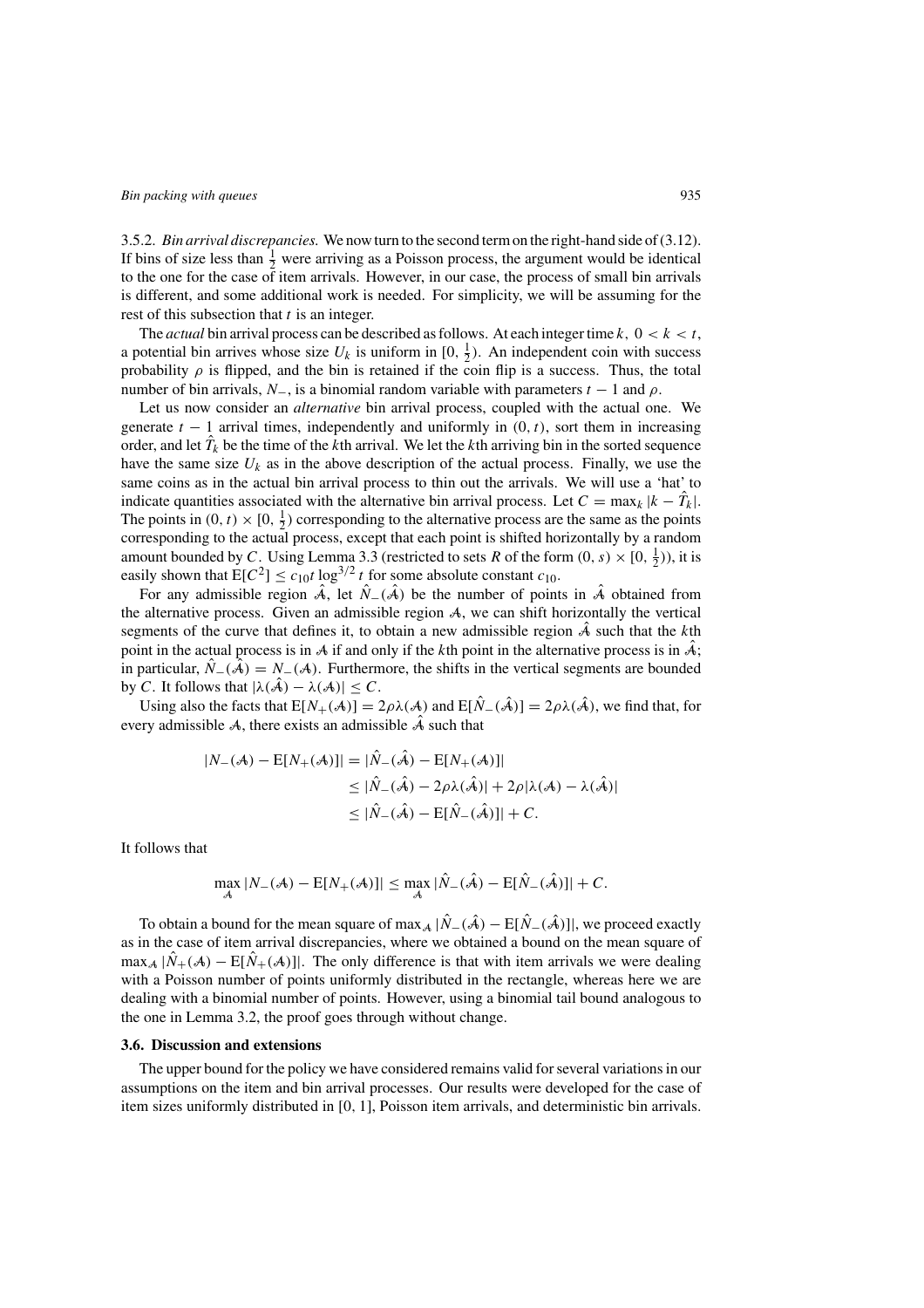3.5.2. *Bin arrival discrepancies.* We now turn to the second term on the right-hand side of (3.12). If bins of size less than  $\frac{1}{2}$  were arriving as a Poisson process, the argument would be identical to the one for the case of item arrivals. However, in our case, the process of small bin arrivals is different, and some additional work is needed. For simplicity, we will be assuming for the rest of this subsection that  $t$  is an integer.

The *actual* bin arrival process can be described as follows. At each integer time  $k$ ,  $0 < k < t$ , a potential bin arrives whose size  $U_k$  is uniform in  $[0, \frac{1}{2})$ . An independent coin with success probability  $\rho$  is flipped, and the bin is retained if the coin flip is a success. Thus, the total number of bin arrivals,  $N_$ , is a binomial random variable with parameters  $t - 1$  and  $\rho$ .

Let us now consider an *alternative* bin arrival process, coupled with the actual one. We generate  $t - 1$  arrival times, independently and uniformly in  $(0, t)$ , sort them in increasing order, and let  $\hat{T}_k$  be the time of the kth arrival. We let the kth arriving bin in the sorted sequence have the same size  $U_k$  as in the above description of the actual process. Finally, we use the same coins as in the actual bin arrival process to thin out the arrivals. We will use a 'hat' to indicate quantities associated with the alternative bin arrival process. Let  $C = \max_k |k - \hat{T}_k|$ . The points in  $(0, t) \times [0, \frac{1}{2})$  corresponding to the alternative process are the same as the points corresponding to the actual process, except that each point is shifted horizontally by a random amount bounded by C. Using Lemma 3.3 (restricted to sets R of the form  $(0, s) \times [0, \frac{1}{2})$ ), it is easily shown that  $E[C^2] \le c_{10}t \log^{3/2} t$  for some absolute constant  $c_{10}$ .

For any admissible region  $\hat{A}$ , let  $\hat{N}_-(\hat{A})$  be the number of points in  $\hat{A}$  obtained from the alternative process. Given an admissible region A, we can shift horizontally the vertical segments of the curve that defines it, to obtain a new admissible region  $\hat{A}$  such that the kth point in the actual process is in A if and only if the kth point in the alternative process is in  $\hat{A}$ ; in particular,  $\hat{N}_-(\hat{A}) = N_-(A)$ . Furthermore, the shifts in the vertical segments are bounded by C. It follows that  $|\lambda(\hat{A}) - \lambda(A)| \leq C$ .

Using also the facts that  $E[N_+(\mathcal{A})] = 2\rho\lambda(\mathcal{A})$  and  $E[\hat{N}_-(\hat{\mathcal{A}})] = 2\rho\lambda(\hat{\mathcal{A}})$ , we find that, for every admissible A, there exists an admissible  $\hat{A}$  such that

$$
|N_{-}(\mathcal{A}) - \mathbb{E}[N_{+}(\mathcal{A})]| = |\hat{N}_{-}(\hat{\mathcal{A}}) - \mathbb{E}[N_{+}(\mathcal{A})]|
$$
  
\n
$$
\leq |\hat{N}_{-}(\hat{\mathcal{A}}) - 2\rho\lambda(\hat{\mathcal{A}})| + 2\rho|\lambda(\mathcal{A}) - \lambda(\hat{\mathcal{A}})|
$$
  
\n
$$
\leq |\hat{N}_{-}(\hat{\mathcal{A}}) - \mathbb{E}[\hat{N}_{-}(\hat{\mathcal{A}})]| + C.
$$

It follows that

$$
\max_{\mathcal{A}} |N_{-}(\mathcal{A}) - \mathbb{E}[N_{+}(\mathcal{A})]| \leq \max_{\mathcal{A}} |\hat{N}_{-}(\hat{\mathcal{A}}) - \mathbb{E}[\hat{N}_{-}(\hat{\mathcal{A}})]| + C.
$$

To obtain a bound for the mean square of max<sub>A</sub>  $|\hat{N}_-(\hat{A}) - E[\hat{N}_-(\hat{A})]|$ , we proceed exactly as in the case of item arrival discrepancies, where we obtained a bound on the mean square of  $\max_A |\dot{N}_+(\mathcal{A}) - E[\dot{N}_+(\mathcal{A})]|$ . The only difference is that with item arrivals we were dealing with a Poisson number of points uniformly distributed in the rectangle, whereas here we are dealing with a binomial number of points. However, using a binomial tail bound analogous to the one in Lemma 3.2, the proof goes through without change.

### **3.6. Discussion and extensions**

The upper bound for the policy we have considered remains valid for several variations in our assumptions on the item and bin arrival processes. Our results were developed for the case of item sizes uniformly distributed in [0, 1], Poisson item arrivals, and deterministic bin arrivals.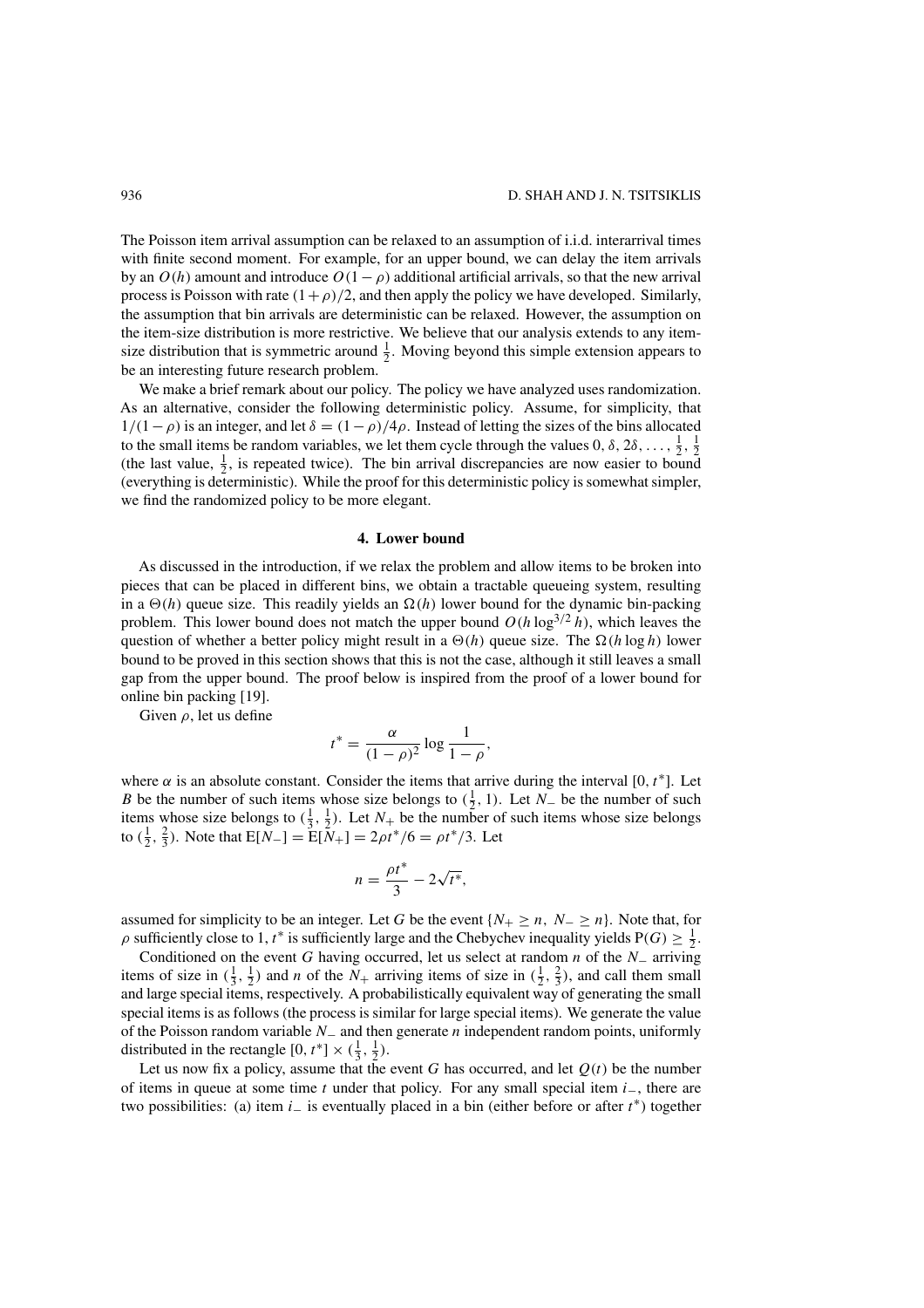The Poisson item arrival assumption can be relaxed to an assumption of i.i.d. interarrival times with finite second moment. For example, for an upper bound, we can delay the item arrivals by an  $O(h)$  amount and introduce  $O(1-\rho)$  additional artificial arrivals, so that the new arrival process is Poisson with rate  $(1+\rho)/2$ , and then apply the policy we have developed. Similarly, the assumption that bin arrivals are deterministic can be relaxed. However, the assumption on the item-size distribution is more restrictive. We believe that our analysis extends to any itemsize distribution that is symmetric around  $\frac{1}{2}$ . Moving beyond this simple extension appears to be an interesting future research problem.

We make a brief remark about our policy. The policy we have analyzed uses randomization. As an alternative, consider the following deterministic policy. Assume, for simplicity, that  $1/(1-\rho)$  is an integer, and let  $\delta = (1-\rho)/4\rho$ . Instead of letting the sizes of the bins allocated to the small items be random variables, we let them cycle through the values  $0, \delta, 2\delta, \ldots, \frac{1}{2}, \frac{1}{2}$ (the last value,  $\frac{1}{2}$ , is repeated twice). The bin arrival discrepancies are now easier to bound (everything is deterministic). While the proof for this deterministic policy is somewhat simpler, we find the randomized policy to be more elegant.

### **4. Lower bound**

As discussed in the introduction, if we relax the problem and allow items to be broken into pieces that can be placed in different bins, we obtain a tractable queueing system, resulting in a  $\Theta(h)$  queue size. This readily yields an  $\Omega(h)$  lower bound for the dynamic bin-packing problem. This lower bound does not match the upper bound  $O(h \log^{3/2} h)$ , which leaves the question of whether a better policy might result in a  $\Theta(h)$  queue size. The  $\Omega(h \log h)$  lower bound to be proved in this section shows that this is not the case, although it still leaves a small gap from the upper bound. The proof below is inspired from the proof of a lower bound for online bin packing [19].

Given  $\rho$ , let us define

$$
t^* = \frac{\alpha}{(1-\rho)^2} \log \frac{1}{1-\rho},
$$

where  $\alpha$  is an absolute constant. Consider the items that arrive during the interval [0,  $t^*$ ]. Let B be the number of such items whose size belongs to  $(\frac{1}{2}, 1)$ . Let  $N_-\$  be the number of such items whose size belongs to  $(\frac{1}{3}, \frac{1}{2})$ . Let  $N_+$  be the number of such items whose size belongs to  $(\frac{1}{2}, \frac{2}{3})$ . Note that  $E[N_{-}] = E[N_{+}] = 2\rho t^{*}/6 = \rho t^{*}/3$ . Let

$$
n = \frac{\rho t^*}{3} - 2\sqrt{t^*},
$$

assumed for simplicity to be an integer. Let G be the event  $\{N_+\geq n, N_-\geq n\}$ . Note that, for  $\rho$  sufficiently close to 1,  $t^*$  is sufficiently large and the Chebychev inequality yields  $P(G) \geq \frac{1}{2}$ .

Conditioned on the event G having occurred, let us select at random n of the  $N_-\,$  arriving items of size in  $(\frac{1}{3}, \frac{1}{2})$  and *n* of the  $N_+$  arriving items of size in  $(\frac{1}{2}, \frac{2}{3})$ , and call them small and large special items, respectively. A probabilistically equivalent way of generating the small special items is as follows (the process is similar for large special items). We generate the value of the Poisson random variable  $N_$  and then generate n independent random points, uniformly distributed in the rectangle  $[0, t^*] \times (\frac{1}{3}, \frac{1}{2})$ .

Let us now fix a policy, assume that the event G has occurred, and let  $Q(t)$  be the number of items in queue at some time t under that policy. For any small special item  $i_-,$  there are two possibilities: (a) item i– is eventually placed in a bin (either before or after  $t^*$ ) together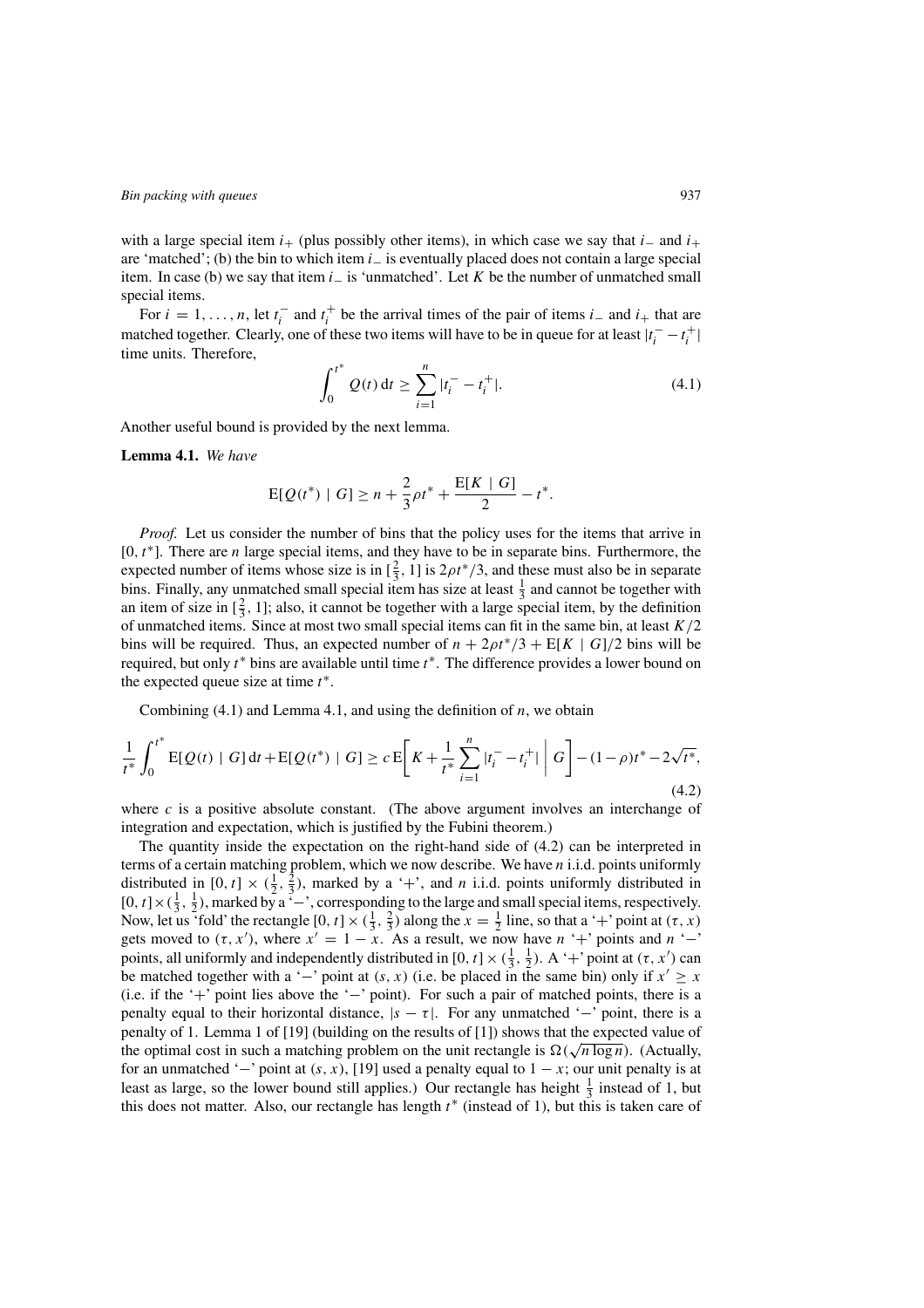with a large special item  $i_{+}$  (plus possibly other items), in which case we say that  $i_{-}$  and  $i_{+}$ are 'matched'; (b) the bin to which item  $i_$  is eventually placed does not contain a large special item. In case (b) we say that item  $i_$  is 'unmatched'. Let K be the number of unmatched small special items.

For  $i = 1, \ldots, n$ , let  $t_i^-$  and  $t_i^+$  be the arrival times of the pair of items  $i_-$  and  $i_+$  that are matched together. Clearly, one of these two items will have to be in queue for at least  $|t_i^- - t_i^+|$ time units. Therefore,

$$
\int_0^{t^*} Q(t) dt \ge \sum_{i=1}^n |t_i^- - t_i^+|.
$$
 (4.1)

Another useful bound is provided by the next lemma.

**Lemma 4.1.** *We have*

$$
E[Q(t^*) | G] \ge n + \frac{2}{3}\rho t^* + \frac{E[K | G]}{2} - t^*.
$$

*Proof.* Let us consider the number of bins that the policy uses for the items that arrive in  $[0, t<sup>*</sup>].$  There are *n* large special items, and they have to be in separate bins. Furthermore, the expected number of items whose size is in  $[\frac{2}{3}, 1]$  is  $2\rho t^*/3$ , and these must also be in separate bins. Finally, any unmatched small special item has size at least  $\frac{1}{3}$  and cannot be together with an item of size in  $[\frac{2}{3}, 1]$ ; also, it cannot be together with a large special item, by the definition of unmatched items. Since at most two small special items can fit in the same bin, at least  $K/2$ bins will be required. Thus, an expected number of  $n + 2\rho t^*/3 + E[K \mid G]/2$  bins will be required, but only  $t^*$  bins are available until time  $t^*$ . The difference provides a lower bound on the expected queue size at time  $t^*$ .

Combining  $(4.1)$  and Lemma 4.1, and using the definition of n, we obtain

$$
\frac{1}{t^*} \int_0^{t^*} E[Q(t) | G] dt + E[Q(t^*) | G] \ge c E \bigg[ K + \frac{1}{t^*} \sum_{i=1}^n |t_i^- - t_i^+| \bigg| G \bigg] - (1 - \rho) t^* - 2\sqrt{t^*}, \tag{4.2}
$$

where  $c$  is a positive absolute constant. (The above argument involves an interchange of integration and expectation, which is justified by the Fubini theorem.)

The quantity inside the expectation on the right-hand side of (4.2) can be interpreted in terms of a certain matching problem, which we now describe. We have  $n$  i.i.d. points uniformly distributed in  $[0, t] \times (\frac{1}{2}, \frac{2}{3})$ , marked by a '+', and *n* i.i.d. points uniformly distributed in [0, t] × ( $\frac{1}{3}$ ,  $\frac{1}{2}$ ), marked by a '-', corresponding to the large and small special items, respectively. Now, let us 'fold' the rectangle  $[0, t] \times (\frac{1}{3}, \frac{2}{3})$  along the  $x = \frac{1}{2}$  line, so that a '+' point at  $(\tau, x)$ gets moved to  $(\tau, x')$ , where  $x' = 1 - x$ . As a result, we now have  $n' +'$  points and  $n' -'$ points, all uniformly and independently distributed in [0, t]  $\times$  ( $\frac{1}{3}$ ,  $\frac{1}{2}$ ). A '+' point at ( $\tau$ ,  $x'$ ) can be matched together with a '-' point at  $(s, x)$  (i.e. be placed in the same bin) only if  $x' \geq x$ (i.e. if the '+' point lies above the '−' point). For such a pair of matched points, there is a penalty equal to their horizontal distance,  $|s - \tau|$ . For any unmatched '–' point, there is a penalty of 1. Lemma 1 of [19] (building on the results of [1]) shows that the expected value of penanty or 1. Lemma 1 or [19] (bunding on the results or [1]) shows that the expected value of the optimal cost in such a matching problem on the unit rectangle is  $\Omega(\sqrt{n \log n})$ . (Actually, for an unmatched ' $-$ ' point at  $(s, x)$ , [19] used a penalty equal to  $1 - x$ ; our unit penalty is at least as large, so the lower bound still applies.) Our rectangle has height  $\frac{1}{3}$  instead of 1, but this does not matter. Also, our rectangle has length  $t^*$  (instead of 1), but this is taken care of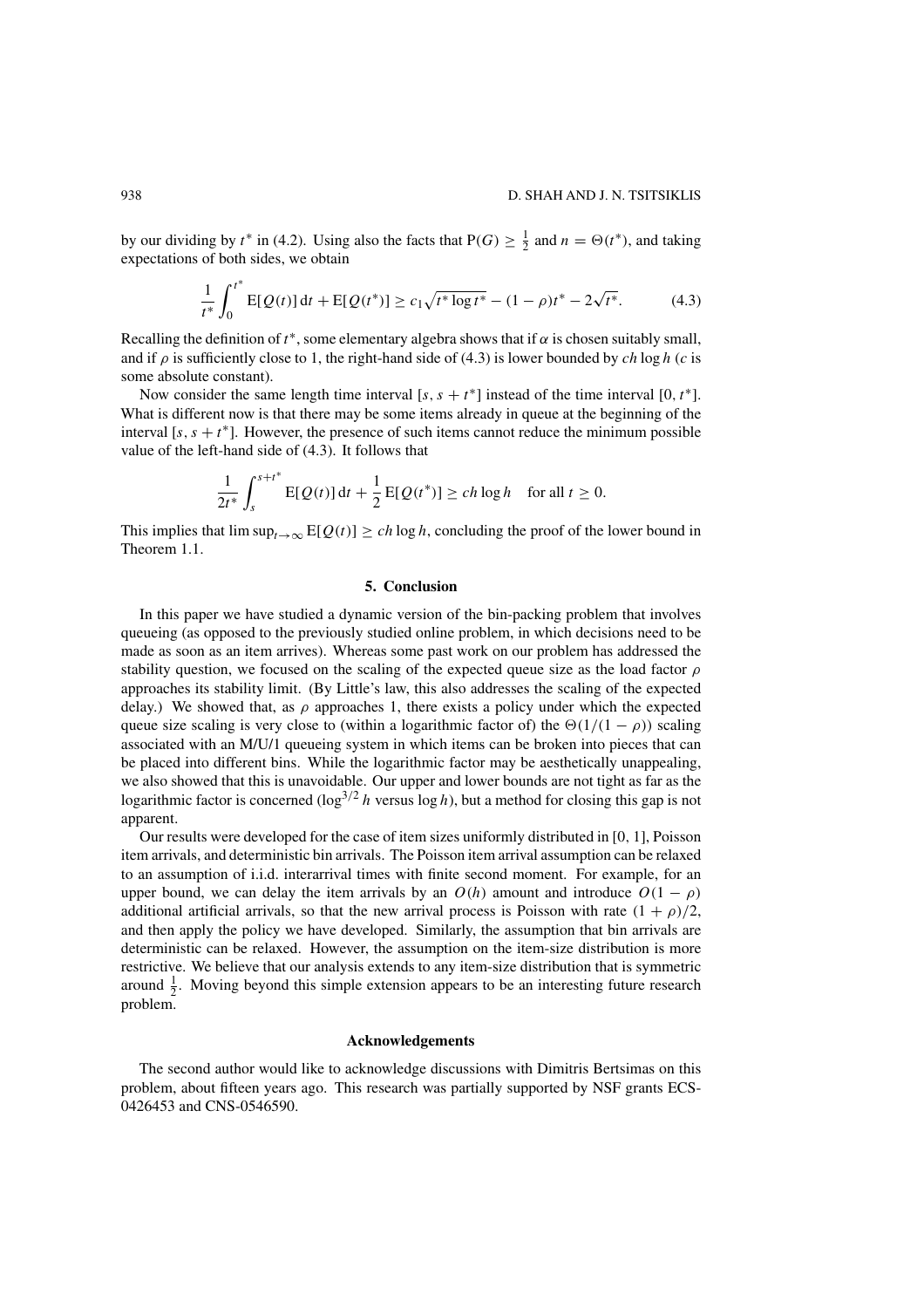by our dividing by  $t^*$  in (4.2). Using also the facts that  $P(G) \geq \frac{1}{2}$  and  $n = \Theta(t^*)$ , and taking expectations of both sides, we obtain

$$
\frac{1}{t^*} \int_0^{t^*} E[Q(t)] dt + E[Q(t^*)] \ge c_1 \sqrt{t^* \log t^*} - (1 - \rho)t^* - 2\sqrt{t^*}.
$$
 (4.3)

Recalling the definition of  $t^*$ , some elementary algebra shows that if  $\alpha$  is chosen suitably small, and if  $\rho$  is sufficiently close to 1, the right-hand side of (4.3) is lower bounded by ch log h (c is some absolute constant).

Now consider the same length time interval [s, s + t<sup>\*</sup>] instead of the time interval [0, t<sup>\*</sup>]. What is different now is that there may be some items already in queue at the beginning of the interval [s, s +  $t^*$ ]. However, the presence of such items cannot reduce the minimum possible value of the left-hand side of (4.3). It follows that

$$
\frac{1}{2t^*} \int_s^{s+t^*} E[Q(t)] dt + \frac{1}{2} E[Q(t^*)] \ge ch \log h \quad \text{for all } t \ge 0.
$$

This implies that  $\limsup_{t\to\infty} E[Q(t)] \ge ch \log h$ , concluding the proof of the lower bound in Theorem 1.1.

### **5. Conclusion**

In this paper we have studied a dynamic version of the bin-packing problem that involves queueing (as opposed to the previously studied online problem, in which decisions need to be made as soon as an item arrives). Whereas some past work on our problem has addressed the stability question, we focused on the scaling of the expected queue size as the load factor  $\rho$ approaches its stability limit. (By Little's law, this also addresses the scaling of the expected delay.) We showed that, as  $\rho$  approaches 1, there exists a policy under which the expected queue size scaling is very close to (within a logarithmic factor of) the  $\Theta(1/(1 - \rho))$  scaling associated with an M/U/1 queueing system in which items can be broken into pieces that can be placed into different bins. While the logarithmic factor may be aesthetically unappealing, we also showed that this is unavoidable. Our upper and lower bounds are not tight as far as the logarithmic factor is concerned  $(\log^{3/2} h \text{ versus } \log h)$ , but a method for closing this gap is not apparent.

Our results were developed for the case of item sizes uniformly distributed in [0, 1], Poisson item arrivals, and deterministic bin arrivals. The Poisson item arrival assumption can be relaxed to an assumption of i.i.d. interarrival times with finite second moment. For example, for an upper bound, we can delay the item arrivals by an  $O(h)$  amount and introduce  $O(1 - \rho)$ additional artificial arrivals, so that the new arrival process is Poisson with rate  $(1 + \rho)/2$ , and then apply the policy we have developed. Similarly, the assumption that bin arrivals are deterministic can be relaxed. However, the assumption on the item-size distribution is more restrictive. We believe that our analysis extends to any item-size distribution that is symmetric around  $\frac{1}{2}$ . Moving beyond this simple extension appears to be an interesting future research problem.

# **Acknowledgements**

The second author would like to acknowledge discussions with Dimitris Bertsimas on this problem, about fifteen years ago. This research was partially supported by NSF grants ECS-0426453 and CNS-0546590.